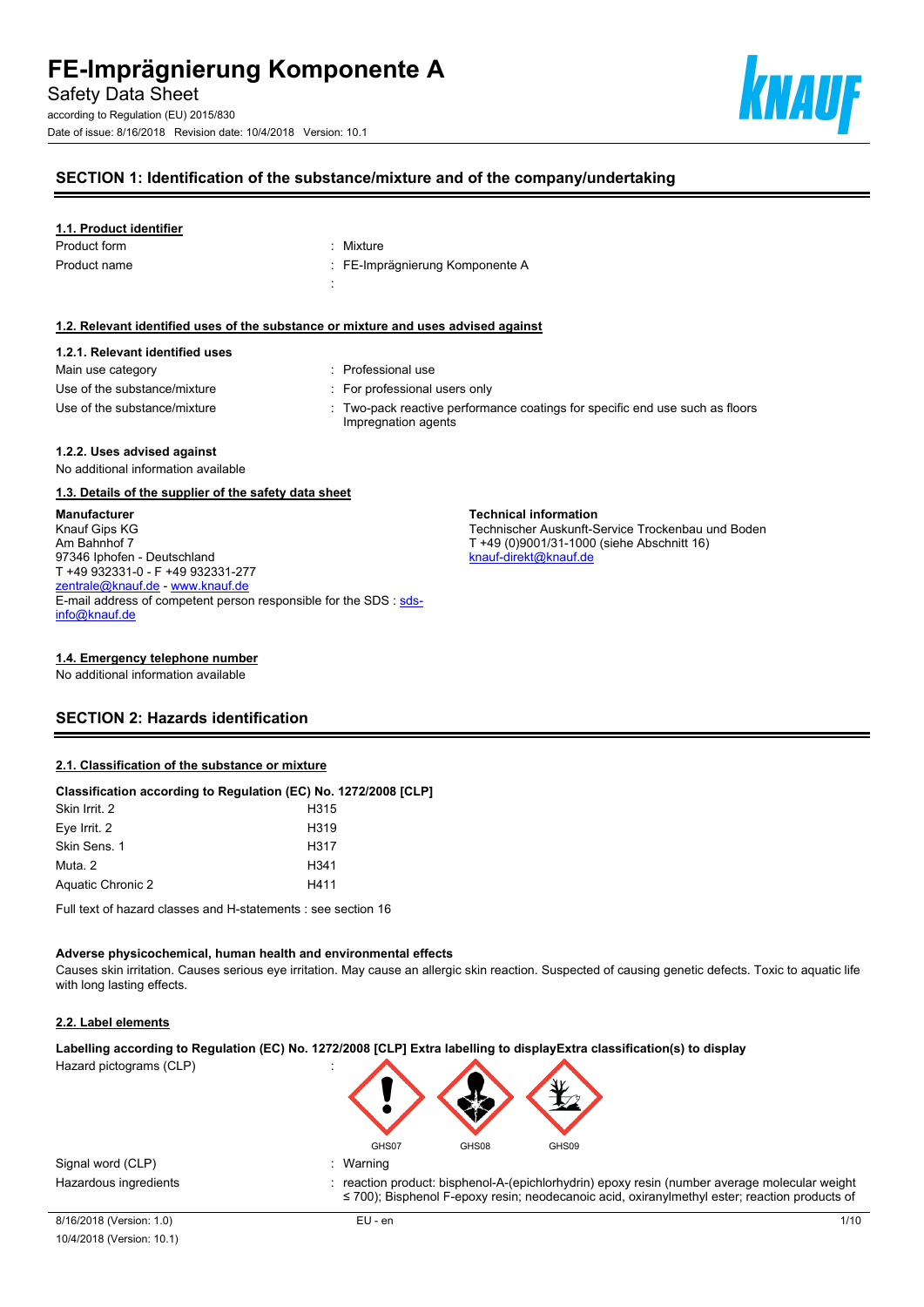according to Regulation (EU) 2015/830 Date of issue: 8/16/2018 Revision date: 10/4/2018 Version: 10.1



## **SECTION 1: Identification of the substance/mixture and of the company/undertaking**

#### **1.1. Product identifier**

| Product form | : Mixture                       |
|--------------|---------------------------------|
| Product name | : FE-Imprägnierung Komponente A |
|              |                                 |

#### **1.2. Relevant identified uses of the substance or mixture and uses advised against**

# **1.2.1. Relevant identified uses**

| Main use category            |  |
|------------------------------|--|
| Use of the substance/mixture |  |
| Use of the substance/mixture |  |

- : Professional use
- : For professional users only
- : Two-pack reactive performance coatings for specific end use such as floors Impregnation agents

**Technical information**

[knauf-direkt@knauf.de](mailto:knauf-direkt@knauf.de)

Technischer Auskunft-Service Trockenbau und Boden

T +49 (0)9001/31-1000 (siehe Abschnitt 16)

#### **1.2.2. Uses advised against**

No additional information available

#### **1.3. Details of the supplier of the safety data sheet**

**Manufacturer** Knauf Gips KG Am Bahnhof 7 97346 Iphofen - Deutschland T +49 932331-0 - F +49 932331-277 [zentrale@knauf.de](mailto:zentrale@knauf.de) - <www.knauf.de> E-mail address of competent person responsible for the SDS : [sds](mailto:sds-info@knauf.de)[info@knauf.de](mailto:sds-info@knauf.de)

#### **1.4. Emergency telephone number**

No additional information available

### **SECTION 2: Hazards identification**

#### **2.1. Classification of the substance or mixture**

#### **Classification according to Regulation (EC) No. 1272/2008 [CLP]**

| H <sub>315</sub>  |
|-------------------|
| H <sub>3</sub> 19 |
| H317              |
| H341              |
| H411              |
|                   |

Full text of hazard classes and H-statements : see section 16

#### **Adverse physicochemical, human health and environmental effects**

Causes skin irritation. Causes serious eye irritation. May cause an allergic skin reaction. Suspected of causing genetic defects. Toxic to aquatic life with long lasting effects.

#### **2.2. Label elements**

**Labelling according to Regulation (EC) No. 1272/2008 [CLP] Extra labelling to displayExtra classification(s) to display**

Hazard pictograms (CLP) :



Signal word (CLP) : Warning

Hazardous ingredients **in the contract of the contract of the contract** of reaction product: bisphenol-A-(epichlorhydrin) epoxy resin (number average molecular weight ≤ 700); Bisphenol F-epoxy resin; neodecanoic acid, oxiranylmethyl ester; reaction products of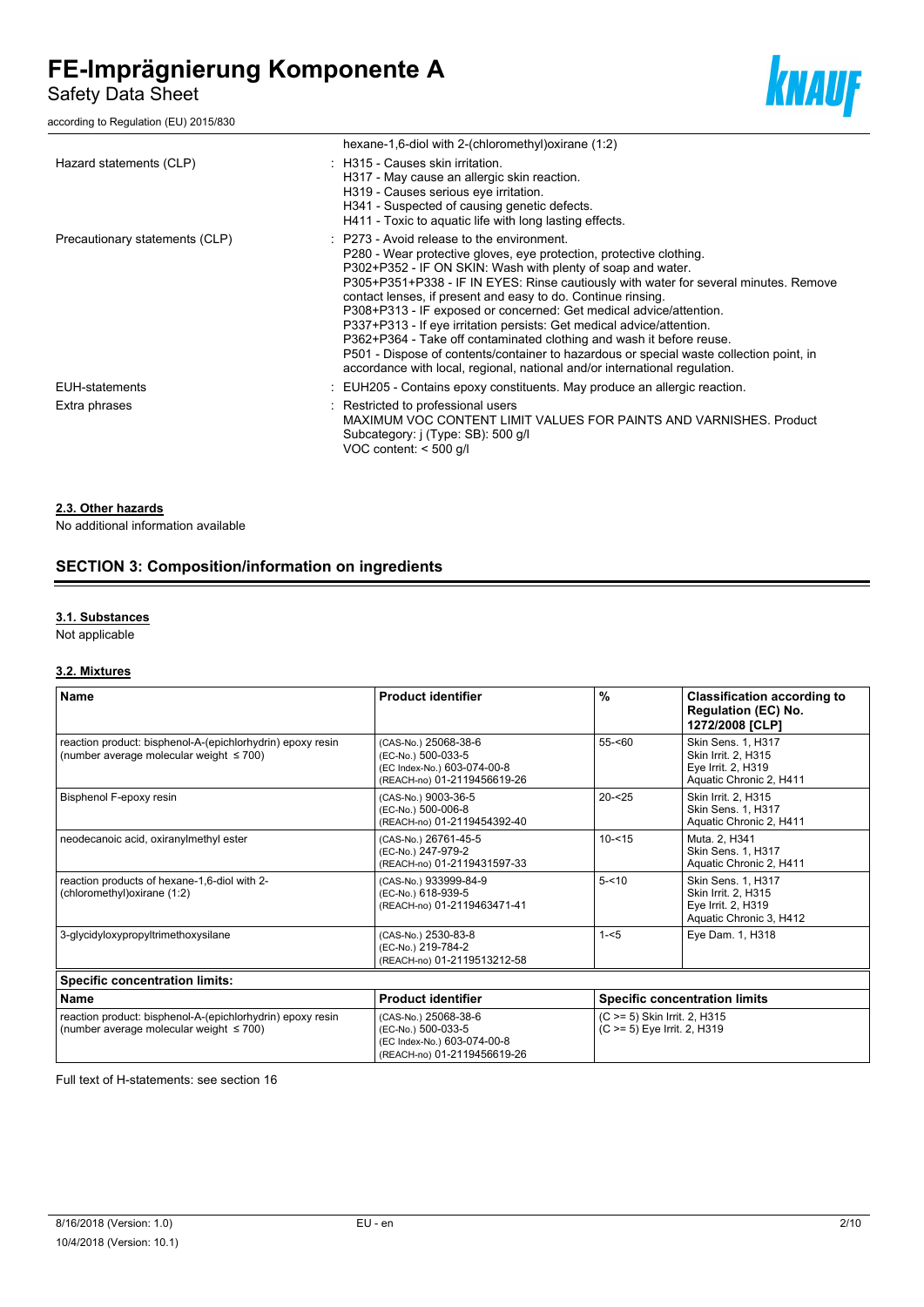Safety Data Sheet

according to Regulation (EU) 2015/830



|                                | hexane-1,6-diol with 2-(chloromethyl) oxirane (1:2)                                                                                                                                                                                                                                                                                                                                                                                                                                                                                                                                                                                                                                                                                                 |
|--------------------------------|-----------------------------------------------------------------------------------------------------------------------------------------------------------------------------------------------------------------------------------------------------------------------------------------------------------------------------------------------------------------------------------------------------------------------------------------------------------------------------------------------------------------------------------------------------------------------------------------------------------------------------------------------------------------------------------------------------------------------------------------------------|
| Hazard statements (CLP)        | : H315 - Causes skin irritation.<br>H317 - May cause an allergic skin reaction.<br>H319 - Causes serious eye irritation.<br>H341 - Suspected of causing genetic defects.<br>H411 - Toxic to aquatic life with long lasting effects.                                                                                                                                                                                                                                                                                                                                                                                                                                                                                                                 |
| Precautionary statements (CLP) | $\therefore$ P273 - Avoid release to the environment.<br>P280 - Wear protective gloves, eye protection, protective clothing.<br>P302+P352 - IF ON SKIN: Wash with plenty of soap and water.<br>P305+P351+P338 - IF IN EYES: Rinse cautiously with water for several minutes. Remove<br>contact lenses, if present and easy to do. Continue rinsing.<br>P308+P313 - IF exposed or concerned: Get medical advice/attention.<br>P337+P313 - If eye irritation persists: Get medical advice/attention.<br>P362+P364 - Take off contaminated clothing and wash it before reuse.<br>P501 - Dispose of contents/container to hazardous or special waste collection point, in<br>accordance with local, regional, national and/or international regulation. |
| <b>EUH-statements</b>          | : EUH205 - Contains epoxy constituents. May produce an allergic reaction.                                                                                                                                                                                                                                                                                                                                                                                                                                                                                                                                                                                                                                                                           |
| Extra phrases                  | : Restricted to professional users<br>MAXIMUM VOC CONTENT LIMIT VALUES FOR PAINTS AND VARNISHES. Product<br>Subcategory: j (Type: SB): 500 g/l<br>VOC content: $<$ 500 g/l                                                                                                                                                                                                                                                                                                                                                                                                                                                                                                                                                                          |

#### **2.3. Other hazards**

No additional information available

# **SECTION 3: Composition/information on ingredients**

#### **3.1. Substances**

Not applicable

### **3.2. Mixtures**

| <b>Name</b>                                                                                                 | <b>Product identifier</b>                                                                                | $\frac{0}{0}$ | <b>Classification according to</b><br><b>Regulation (EC) No.</b><br>1272/2008 [CLP]        |
|-------------------------------------------------------------------------------------------------------------|----------------------------------------------------------------------------------------------------------|---------------|--------------------------------------------------------------------------------------------|
| reaction product: bisphenol-A-(epichlorhydrin) epoxy resin<br>(number average molecular weight $\leq 700$ ) | (CAS-No.) 25068-38-6<br>(EC-No.) 500-033-5<br>(EC Index-No.) 603-074-00-8<br>(REACH-no) 01-2119456619-26 | $55 - 60$     | Skin Sens. 1, H317<br>Skin Irrit. 2. H315<br>Eye Irrit. 2, H319<br>Aquatic Chronic 2, H411 |
| Bisphenol F-epoxy resin                                                                                     | (CAS-No.) 9003-36-5<br>(EC-No.) 500-006-8<br>(REACH-no) 01-2119454392-40                                 | $20 - 25$     | Skin Irrit. 2, H315<br>Skin Sens. 1, H317<br>Aquatic Chronic 2, H411                       |
| neodecanoic acid, oxiranylmethyl ester                                                                      | (CAS-No.) 26761-45-5<br>(EC-No.) 247-979-2<br>(REACH-no) 01-2119431597-33                                | $10 - 515$    | Muta. 2, H341<br><b>Skin Sens. 1. H317</b><br>Aquatic Chronic 2, H411                      |
| reaction products of hexane-1,6-diol with 2-<br>(chloromethyl) oxirane (1:2)                                | (CAS-No.) 933999-84-9<br>(EC-No.) 618-939-5<br>(REACH-no) 01-2119463471-41                               | $5 - 10$      | Skin Sens. 1, H317<br>Skin Irrit. 2, H315<br>Eye Irrit. 2, H319<br>Aquatic Chronic 3, H412 |
| 3-glycidyloxypropyltrimethoxysilane                                                                         | (CAS-No.) 2530-83-8<br>(EC-No.) 219-784-2<br>(REACH-no) 01-2119513212-58                                 | $1 - 5$       | Eye Dam. 1, H318                                                                           |
| <b>Specific concentration limits:</b>                                                                       |                                                                                                          |               |                                                                                            |
| <b>Name</b>                                                                                                 | <b>Product identifier</b>                                                                                |               | <b>Specific concentration limits</b>                                                       |
| reaction product: bisphenol-A-(epichlorhydrin) epoxy resin<br>(number average molecular weight $\leq 700$ ) | (CAS-No.) 25068-38-6<br>(EC-No.) 500-033-5<br>(EC Index-No.) 603-074-00-8<br>(REACH-no) 01-2119456619-26 |               | (C >= 5) Skin Irrit. 2, H315<br>(C >= 5) Eye Irrit. 2, H319                                |

Full text of H-statements: see section 16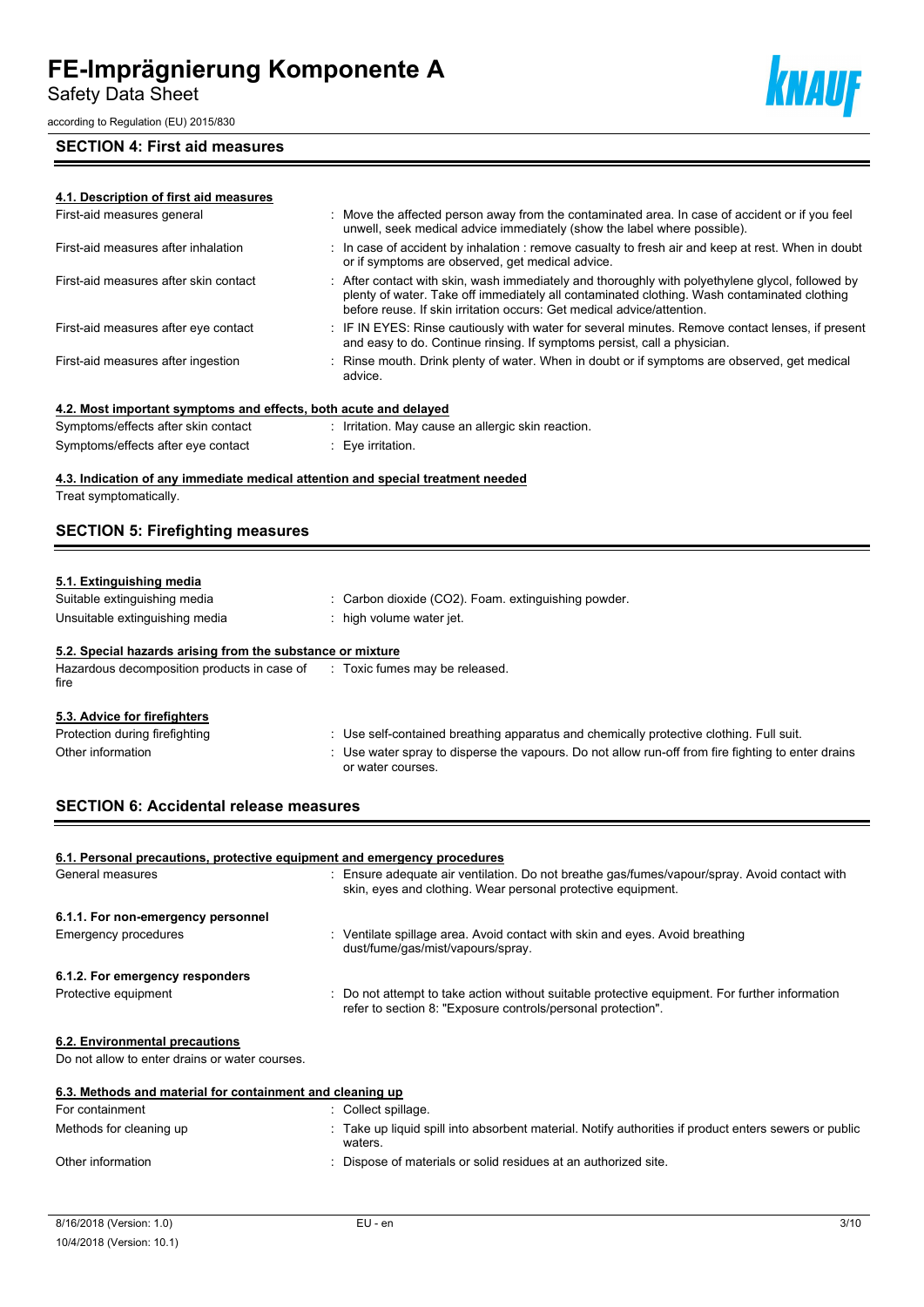Safety Data Sheet

according to Regulation (EU) 2015/830

# **SECTION 4: First aid measures**



| 4.1. Description of first aid measures                              |                                                                                                                                                                                                                                                                           |
|---------------------------------------------------------------------|---------------------------------------------------------------------------------------------------------------------------------------------------------------------------------------------------------------------------------------------------------------------------|
| First-aid measures general                                          | Move the affected person away from the contaminated area. In case of accident or if you feel<br>unwell, seek medical advice immediately (show the label where possible).                                                                                                  |
| First-aid measures after inhalation                                 | : In case of accident by inhalation : remove casualty to fresh air and keep at rest. When in doubt<br>or if symptoms are observed, get medical advice.                                                                                                                    |
| First-aid measures after skin contact                               | : After contact with skin, wash immediately and thoroughly with polyethylene glycol, followed by<br>plenty of water. Take off immediately all contaminated clothing. Wash contaminated clothing<br>before reuse. If skin irritation occurs: Get medical advice/attention. |
| First-aid measures after eye contact                                | : IF IN EYES: Rinse cautiously with water for several minutes. Remove contact lenses, if present<br>and easy to do. Continue rinsing. If symptoms persist, call a physician.                                                                                              |
| First-aid measures after ingestion                                  | : Rinse mouth. Drink plenty of water. When in doubt or if symptoms are observed, get medical<br>advice.                                                                                                                                                                   |
| 4.2. Most important symptoms and effects, both acute and delayed    |                                                                                                                                                                                                                                                                           |
| Symptoms/effects after skin contact                                 | : Irritation. May cause an allergic skin reaction.                                                                                                                                                                                                                        |
| Symptoms/effects after eye contact                                  | : Eye irritation.                                                                                                                                                                                                                                                         |
| <b>SECTION 5: Firefighting measures</b><br>5.1. Extinguishing media |                                                                                                                                                                                                                                                                           |
| Suitable extinguishing media                                        | Carbon dioxide (CO2). Foam. extinguishing powder.                                                                                                                                                                                                                         |
| Unsuitable extinguishing media                                      | high volume water jet.                                                                                                                                                                                                                                                    |
| 5.2. Special hazards arising from the substance or mixture          |                                                                                                                                                                                                                                                                           |
| Hazardous decomposition products in case of<br>fire                 | : Toxic fumes may be released.                                                                                                                                                                                                                                            |
|                                                                     |                                                                                                                                                                                                                                                                           |
| 5.3. Advice for firefighters                                        |                                                                                                                                                                                                                                                                           |
| Protection during firefighting                                      | : Use self-contained breathing apparatus and chemically protective clothing. Full suit.                                                                                                                                                                                   |
| Other information                                                   | : Use water spray to disperse the vapours. Do not allow run-off from fire fighting to enter drains<br>or water courses.                                                                                                                                                   |
| <b>SECTION 6: Accidental release measures</b>                       |                                                                                                                                                                                                                                                                           |

| 6.1. Personal precautions, protective equipment and emergency procedures |                                                                                                                                                                |
|--------------------------------------------------------------------------|----------------------------------------------------------------------------------------------------------------------------------------------------------------|
| General measures                                                         | : Ensure adequate air ventilation. Do not breathe gas/fumes/vapour/spray. Avoid contact with<br>skin, eyes and clothing. Wear personal protective equipment.   |
| 6.1.1. For non-emergency personnel                                       |                                                                                                                                                                |
| Emergency procedures                                                     | Ventilate spillage area. Avoid contact with skin and eyes. Avoid breathing<br>dust/fume/gas/mist/vapours/spray.                                                |
| 6.1.2. For emergency responders                                          |                                                                                                                                                                |
| Protective equipment                                                     | : Do not attempt to take action without suitable protective equipment. For further information<br>refer to section 8: "Exposure controls/personal protection". |
| 6.2. Environmental precautions                                           |                                                                                                                                                                |
| Do not allow to enter drains or water courses.                           |                                                                                                                                                                |
| 6.3. Methods and material for containment and cleaning up                |                                                                                                                                                                |
| For containment                                                          | : Collect spillage.                                                                                                                                            |
| Methods for cleaning up                                                  | Take up liquid spill into absorbent material. Notify authorities if product enters sewers or public<br>waters.                                                 |
| Other information                                                        | : Dispose of materials or solid residues at an authorized site.                                                                                                |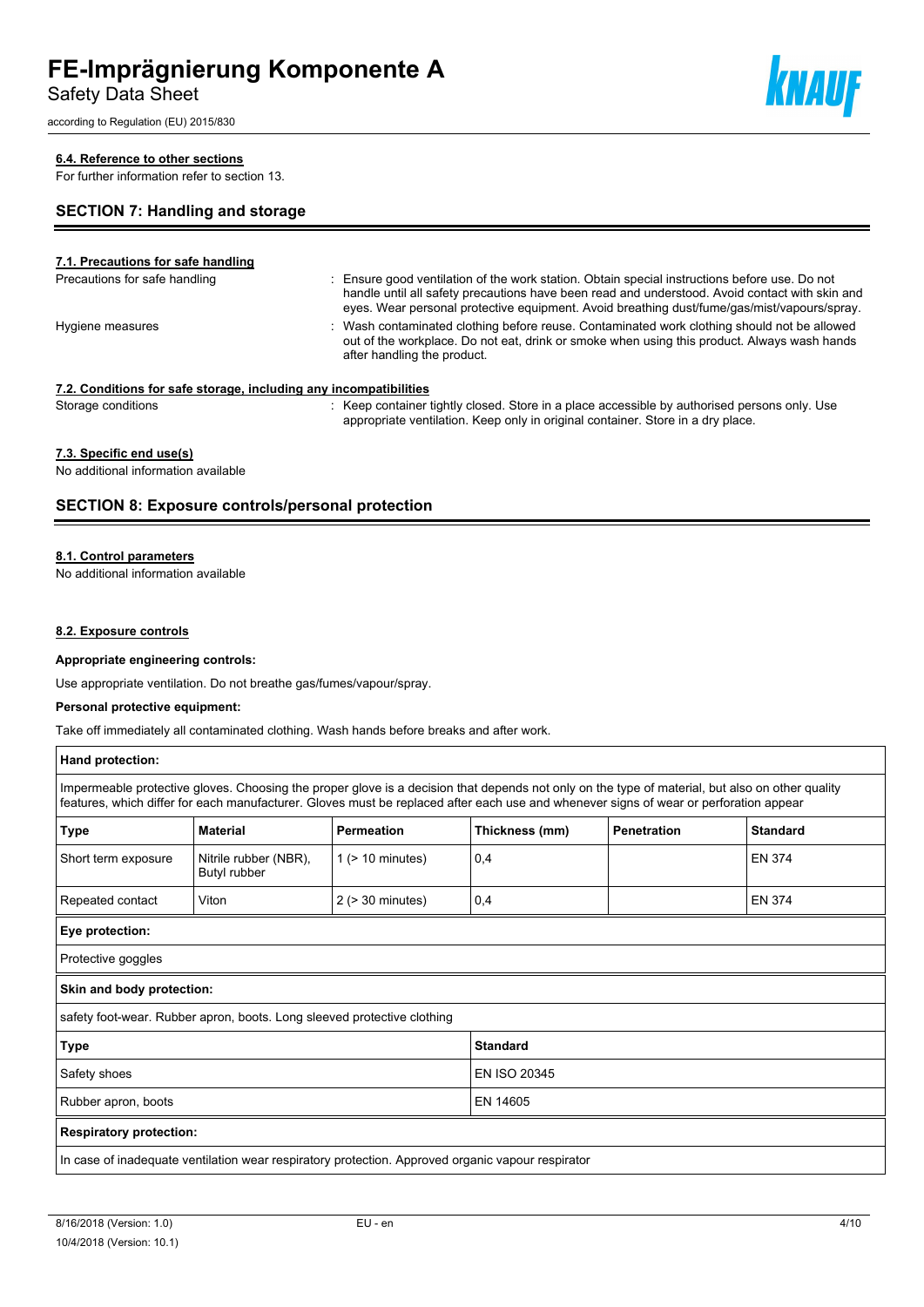Safety Data Sheet

according to Regulation (EU) 2015/830

### **6.4. Reference to other sections**

For further information refer to section 13.

### **SECTION 7: Handling and storage**

**7.1. Precautions for safe handling** Precautions for safe handling **interpretent in the station** of the work station. Obtain special instructions before use. Do not handle until all safety precautions have been read and understood. Avoid contact with skin and eyes. Wear personal protective equipment. Avoid breathing dust/fume/gas/mist/vapours/spray. Hygiene measures **interpretatal contaminated clothing before reuse**. Contaminated work clothing should not be allowed out of the workplace. Do not eat, drink or smoke when using this product. Always wash hands after handling the product. **7.2. Conditions for safe storage, including any incompatibilities** Storage conditions **interest and the Container Container tightly closed.** Store in a place accessible by authorised persons only. Use appropriate ventilation. Keep only in original container. Store in a dry place.

# **7.3. Specific end use(s)**

No additional information available

### **SECTION 8: Exposure controls/personal protection**

#### **8.1. Control parameters**

No additional information available

#### **8.2. Exposure controls**

#### **Appropriate engineering controls:**

Use appropriate ventilation. Do not breathe gas/fumes/vapour/spray.

#### **Personal protective equipment:**

Take off immediately all contaminated clothing. Wash hands before breaks and after work.

| Hand protection:                                                                                                                                                                                                                                                                         |                                       |                       |                |                    |                 |
|------------------------------------------------------------------------------------------------------------------------------------------------------------------------------------------------------------------------------------------------------------------------------------------|---------------------------------------|-----------------------|----------------|--------------------|-----------------|
| Impermeable protective gloves. Choosing the proper glove is a decision that depends not only on the type of material, but also on other quality<br>features, which differ for each manufacturer. Gloves must be replaced after each use and whenever signs of wear or perforation appear |                                       |                       |                |                    |                 |
| <b>Type</b>                                                                                                                                                                                                                                                                              | <b>Material</b>                       | <b>Permeation</b>     | Thickness (mm) | <b>Penetration</b> | <b>Standard</b> |
| Short term exposure                                                                                                                                                                                                                                                                      | Nitrile rubber (NBR),<br>Butyl rubber | $1$ ( $> 10$ minutes) | 0,4            |                    | <b>EN 374</b>   |
| Repeated contact                                                                                                                                                                                                                                                                         | Viton                                 | $2$ ( $>$ 30 minutes) | 0,4            |                    | <b>EN 374</b>   |
| Eye protection:                                                                                                                                                                                                                                                                          |                                       |                       |                |                    |                 |
| Protective goggles                                                                                                                                                                                                                                                                       |                                       |                       |                |                    |                 |
| Skin and body protection:                                                                                                                                                                                                                                                                |                                       |                       |                |                    |                 |
| safety foot-wear. Rubber apron, boots. Long sleeved protective clothing                                                                                                                                                                                                                  |                                       |                       |                |                    |                 |
| Type<br><b>Standard</b>                                                                                                                                                                                                                                                                  |                                       |                       |                |                    |                 |
| Safety shoes                                                                                                                                                                                                                                                                             |                                       | EN ISO 20345          |                |                    |                 |
| EN 14605<br>Rubber apron, boots                                                                                                                                                                                                                                                          |                                       |                       |                |                    |                 |
| <b>Respiratory protection:</b>                                                                                                                                                                                                                                                           |                                       |                       |                |                    |                 |
| In case of inadequate ventilation wear respiratory protection. Approved organic vapour respirator                                                                                                                                                                                        |                                       |                       |                |                    |                 |



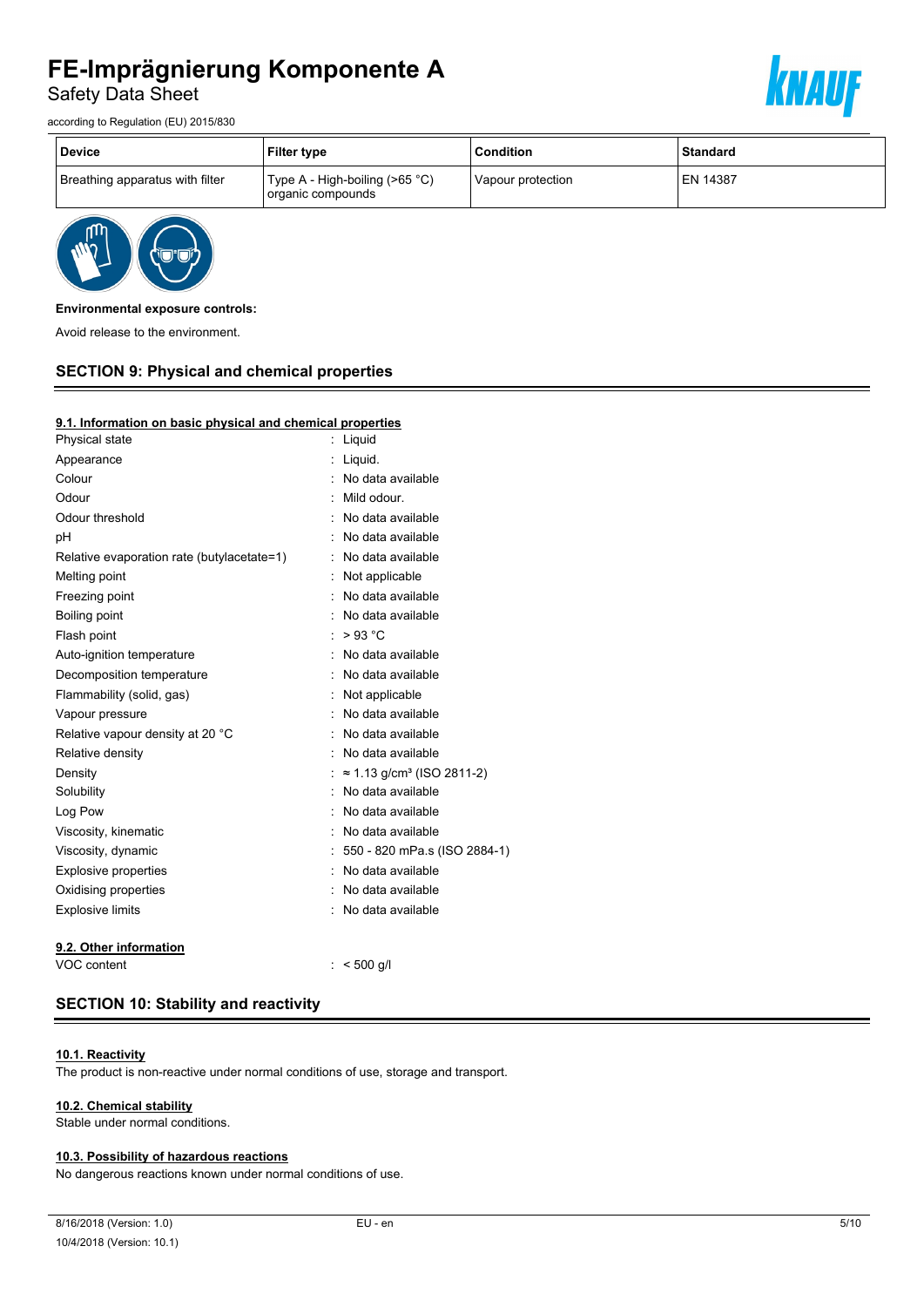Safety Data Sheet





| <b>Device</b>                   | <b>Filter type</b>                                       | <b>Condition</b>  | <b>Standard</b> |
|---------------------------------|----------------------------------------------------------|-------------------|-----------------|
| Breathing apparatus with filter | Type A - High-boiling ( $>65$ °C)<br>' organic compounds | Vapour protection | <b>EN 14387</b> |



#### **Environmental exposure controls:**

Avoid release to the environment.

# **SECTION 9: Physical and chemical properties**

#### **9.1. Information on basic physical and chemical properties**

| Physical state                             | Liquid                                        |
|--------------------------------------------|-----------------------------------------------|
| Appearance                                 | Liquid.                                       |
| Colour                                     | No data available                             |
| Odour                                      | Mild odour.                                   |
| Odour threshold                            | No data available                             |
| рH                                         | No data available                             |
| Relative evaporation rate (butylacetate=1) | No data available                             |
| Melting point                              | Not applicable                                |
| Freezing point                             | No data available                             |
| Boiling point                              | No data available                             |
| Flash point                                | $>93$ °C                                      |
| Auto-ignition temperature                  | No data available                             |
| Decomposition temperature                  | No data available                             |
| Flammability (solid, gas)                  | Not applicable                                |
| Vapour pressure                            | No data available                             |
| Relative vapour density at 20 °C           | No data available                             |
| Relative density                           | No data available                             |
| Density                                    | $\approx$ 1.13 g/cm <sup>3</sup> (ISO 2811-2) |
| Solubility                                 | No data available                             |
| Log Pow                                    | No data available                             |
| Viscosity, kinematic                       | No data available                             |
| Viscosity, dynamic                         | : 550 - 820 mPa.s (ISO 2884-1)                |
| <b>Explosive properties</b>                | No data available                             |
| Oxidising properties                       | No data available                             |
| <b>Explosive limits</b>                    | No data available                             |
| 9.2. Other information                     |                                               |
| VOC content                                | $< 500$ q/l                                   |

# **SECTION 10: Stability and reactivity**

### **10.1. Reactivity**

The product is non-reactive under normal conditions of use, storage and transport.

#### **10.2. Chemical stability**

Stable under normal conditions.

#### **10.3. Possibility of hazardous reactions**

No dangerous reactions known under normal conditions of use.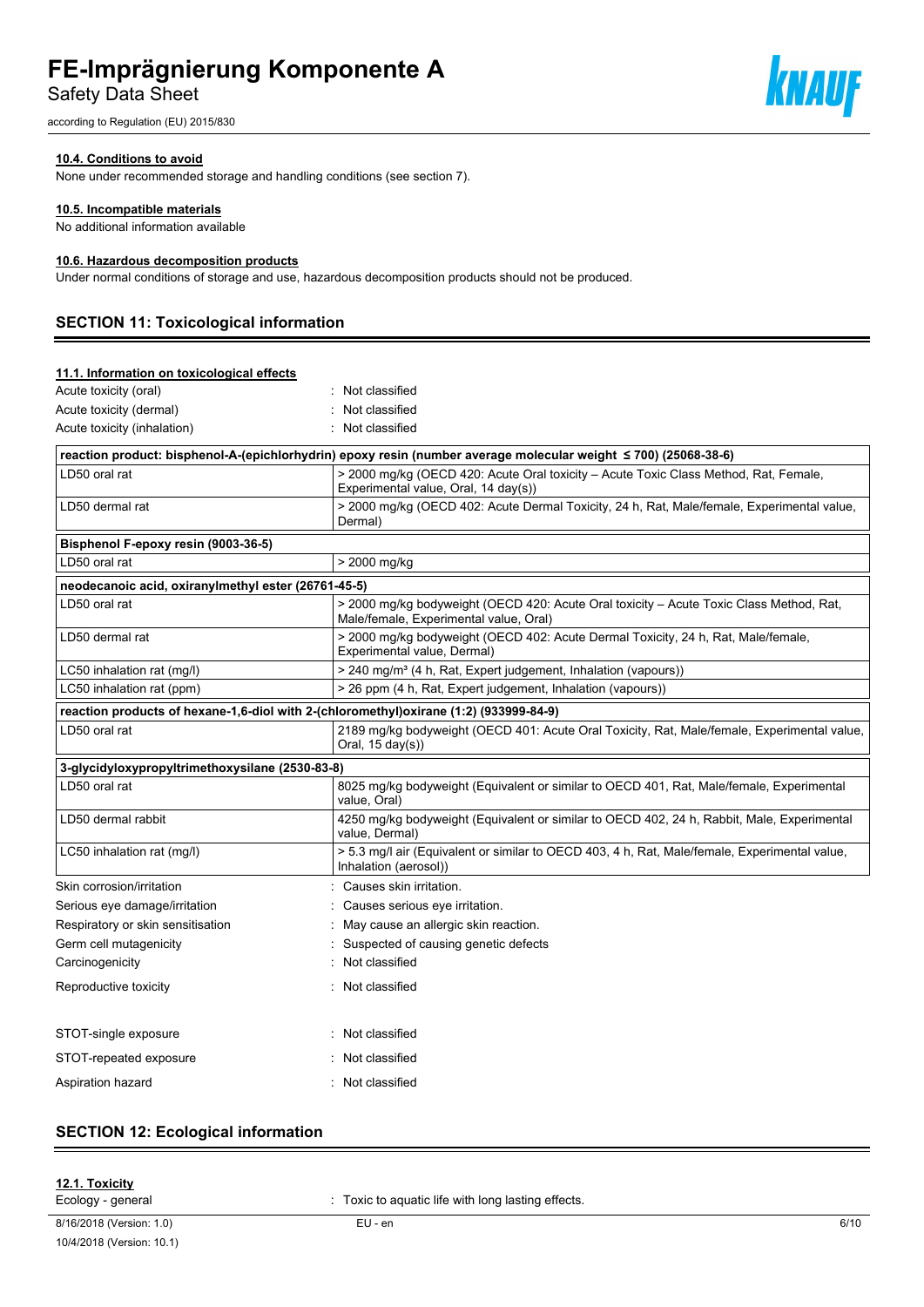Safety Data Sheet

according to Regulation (EU) 2015/830

#### **10.4. Conditions to avoid**

None under recommended storage and handling conditions (see section 7).

#### **10.5. Incompatible materials**

No additional information available

#### **10.6. Hazardous decomposition products**

Under normal conditions of storage and use, hazardous decomposition products should not be produced.

# **SECTION 11: Toxicological information**

| 11.1. Information on toxicological effects                                            |                                                                                                                                   |
|---------------------------------------------------------------------------------------|-----------------------------------------------------------------------------------------------------------------------------------|
| Acute toxicity (oral)                                                                 | : Not classified                                                                                                                  |
| Acute toxicity (dermal)                                                               | Not classified                                                                                                                    |
| Acute toxicity (inhalation)                                                           | Not classified                                                                                                                    |
|                                                                                       | reaction product: bisphenol-A-(epichlorhydrin) epoxy resin (number average molecular weight ≤ 700) (25068-38-6)                   |
| LD50 oral rat                                                                         | > 2000 mg/kg (OECD 420: Acute Oral toxicity - Acute Toxic Class Method, Rat, Female,<br>Experimental value, Oral, 14 day(s))      |
| LD50 dermal rat                                                                       | > 2000 mg/kg (OECD 402: Acute Dermal Toxicity, 24 h, Rat, Male/female, Experimental value,<br>Dermal)                             |
| Bisphenol F-epoxy resin (9003-36-5)                                                   |                                                                                                                                   |
| LD50 oral rat                                                                         | > 2000 mg/kg                                                                                                                      |
| neodecanoic acid, oxiranylmethyl ester (26761-45-5)                                   |                                                                                                                                   |
| LD50 oral rat                                                                         | > 2000 mg/kg bodyweight (OECD 420: Acute Oral toxicity - Acute Toxic Class Method, Rat,<br>Male/female, Experimental value, Oral) |
| LD50 dermal rat                                                                       | > 2000 mg/kg bodyweight (OECD 402: Acute Dermal Toxicity, 24 h, Rat, Male/female,<br>Experimental value, Dermal)                  |
| LC50 inhalation rat (mg/l)                                                            | > 240 mg/m <sup>3</sup> (4 h, Rat, Expert judgement, Inhalation (vapours))                                                        |
| LC50 inhalation rat (ppm)                                                             | > 26 ppm (4 h, Rat, Expert judgement, Inhalation (vapours))                                                                       |
| reaction products of hexane-1,6-diol with 2-(chloromethyl)oxirane (1:2) (933999-84-9) |                                                                                                                                   |
| LD50 oral rat                                                                         | 2189 mg/kg bodyweight (OECD 401: Acute Oral Toxicity, Rat, Male/female, Experimental value,<br>Oral, $15 \text{ day}(s)$ )        |
| 3-glycidyloxypropyltrimethoxysilane (2530-83-8)                                       |                                                                                                                                   |
| LD50 oral rat                                                                         | 8025 mg/kg bodyweight (Equivalent or similar to OECD 401, Rat, Male/female, Experimental<br>value, Oral)                          |
| LD50 dermal rabbit                                                                    | 4250 mg/kg bodyweight (Equivalent or similar to OECD 402, 24 h, Rabbit, Male, Experimental<br>value, Dermal)                      |
| LC50 inhalation rat (mg/l)                                                            | > 5.3 mg/l air (Equivalent or similar to OECD 403, 4 h, Rat, Male/female, Experimental value,<br>Inhalation (aerosol))            |
| Skin corrosion/irritation                                                             | : Causes skin irritation.                                                                                                         |
| Serious eye damage/irritation                                                         | Causes serious eye irritation.                                                                                                    |
| Respiratory or skin sensitisation                                                     | May cause an allergic skin reaction.                                                                                              |
| Germ cell mutagenicity                                                                | Suspected of causing genetic defects                                                                                              |
| Carcinogenicity                                                                       | Not classified                                                                                                                    |
| Reproductive toxicity                                                                 | Not classified                                                                                                                    |
| STOT-single exposure                                                                  | Not classified                                                                                                                    |
| STOT-repeated exposure                                                                | Not classified                                                                                                                    |
| Aspiration hazard                                                                     | : Not classified                                                                                                                  |

# **SECTION 12: Ecological information**

#### **12.1. Toxicity**

Ecology - general **Ecology** - general  $\cdot$  Toxic to aquatic life with long lasting effects.

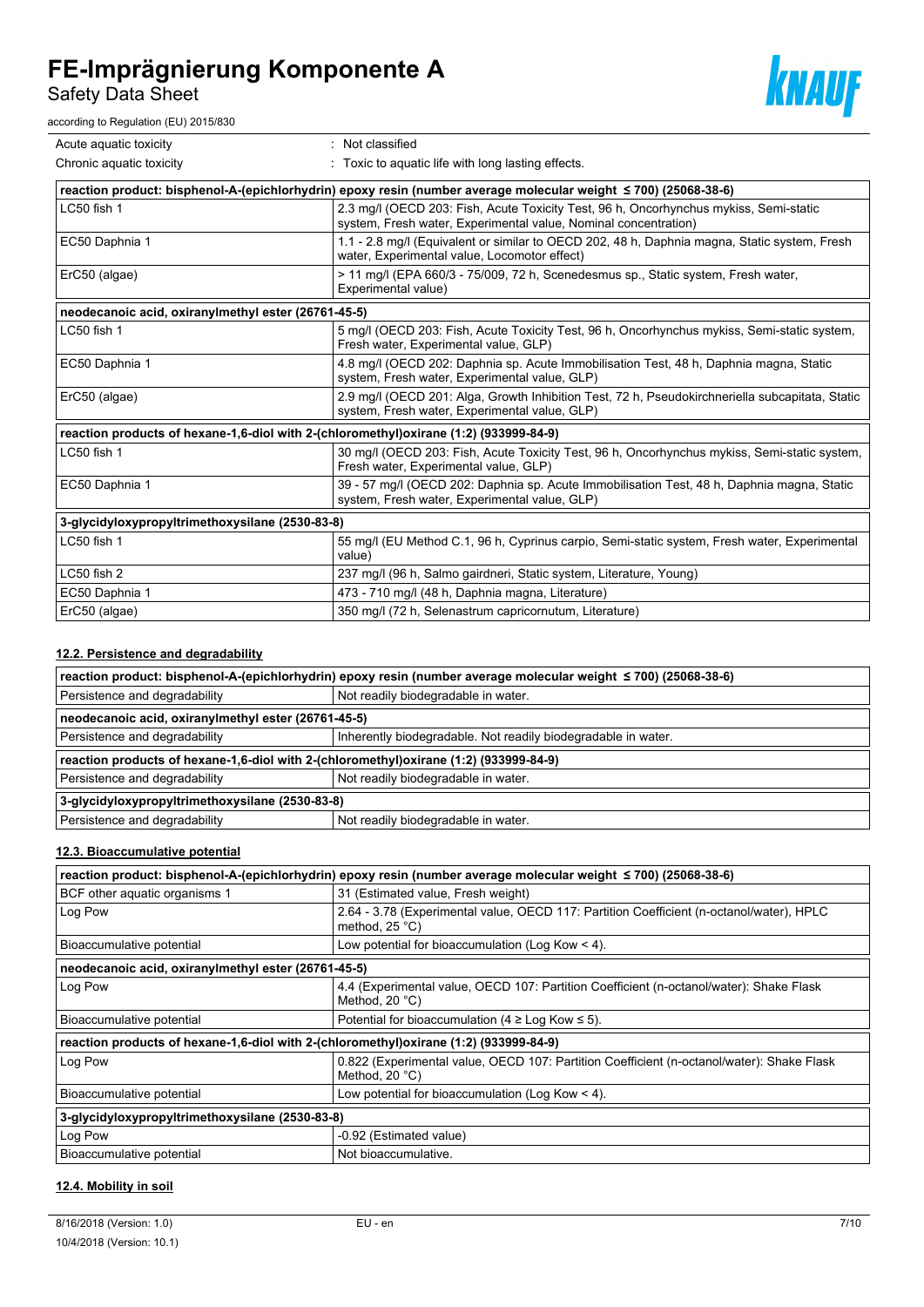Safety Data Sheet

according to Regulation (EU) 2015/830



| Acute aquatic toxicity                                                                | Not classified                                                                                                                                           |  |
|---------------------------------------------------------------------------------------|----------------------------------------------------------------------------------------------------------------------------------------------------------|--|
| Chronic aquatic toxicity                                                              | Toxic to aquatic life with long lasting effects.                                                                                                         |  |
|                                                                                       | reaction product: bisphenol-A-(epichlorhydrin) epoxy resin (number average molecular weight ≤ 700) (25068-38-6)                                          |  |
| LC50 fish 1                                                                           | 2.3 mg/l (OECD 203: Fish, Acute Toxicity Test, 96 h, Oncorhynchus mykiss, Semi-static<br>system, Fresh water, Experimental value, Nominal concentration) |  |
| EC50 Daphnia 1                                                                        | 1.1 - 2.8 mg/l (Equivalent or similar to OECD 202, 48 h, Daphnia magna, Static system, Fresh<br>water, Experimental value, Locomotor effect)             |  |
| ErC50 (algae)                                                                         | > 11 mg/l (EPA 660/3 - 75/009, 72 h, Scenedesmus sp., Static system, Fresh water,<br>Experimental value)                                                 |  |
| neodecanoic acid, oxiranylmethyl ester (26761-45-5)                                   |                                                                                                                                                          |  |
| LC50 fish 1                                                                           | 5 mg/l (OECD 203: Fish, Acute Toxicity Test, 96 h, Oncorhynchus mykiss, Semi-static system,<br>Fresh water, Experimental value, GLP)                     |  |
| EC50 Daphnia 1                                                                        | 4.8 mg/l (OECD 202: Daphnia sp. Acute Immobilisation Test, 48 h, Daphnia magna, Static<br>system, Fresh water, Experimental value, GLP)                  |  |
| ErC50 (algae)                                                                         | 2.9 mg/l (OECD 201: Alga, Growth Inhibition Test, 72 h, Pseudokirchneriella subcapitata, Static<br>system, Fresh water, Experimental value, GLP)         |  |
| reaction products of hexane-1,6-diol with 2-(chloromethyl)oxirane (1:2) (933999-84-9) |                                                                                                                                                          |  |
| LC50 fish 1                                                                           | 30 mg/l (OECD 203: Fish, Acute Toxicity Test, 96 h, Oncorhynchus mykiss, Semi-static system,<br>Fresh water, Experimental value, GLP)                    |  |
| EC50 Daphnia 1                                                                        | 39 - 57 mg/l (OECD 202: Daphnia sp. Acute Immobilisation Test, 48 h, Daphnia magna, Static<br>system, Fresh water, Experimental value, GLP)              |  |
| 3-glycidyloxypropyltrimethoxysilane (2530-83-8)                                       |                                                                                                                                                          |  |
| LC50 fish 1                                                                           | 55 mg/l (EU Method C.1, 96 h, Cyprinus carpio, Semi-static system, Fresh water, Experimental<br>value)                                                   |  |
| LC50 fish 2                                                                           | 237 mg/l (96 h, Salmo gairdneri, Static system, Literature, Young)                                                                                       |  |
| EC50 Daphnia 1                                                                        | 473 - 710 mg/l (48 h, Daphnia magna, Literature)                                                                                                         |  |
| ErC50 (algae)                                                                         | 350 mg/l (72 h, Selenastrum capricornutum, Literature)                                                                                                   |  |

## **12.2. Persistence and degradability**

| reaction product: bisphenol-A-(epichlorhydrin) epoxy resin (number average molecular weight ≤ 700) (25068-38-6) |                                                               |  |  |
|-----------------------------------------------------------------------------------------------------------------|---------------------------------------------------------------|--|--|
| Persistence and degradability                                                                                   | Not readily biodegradable in water.                           |  |  |
| neodecanoic acid, oxiranylmethyl ester (26761-45-5)                                                             |                                                               |  |  |
| Persistence and degradability                                                                                   | Inherently biodegradable. Not readily biodegradable in water. |  |  |
| reaction products of hexane-1,6-diol with 2-(chloromethyl)oxirane (1:2) (933999-84-9)                           |                                                               |  |  |
| Persistence and degradability                                                                                   | Not readily biodegradable in water.                           |  |  |
| 3-glycidyloxypropyltrimethoxysilane (2530-83-8)                                                                 |                                                               |  |  |
| Persistence and degradability                                                                                   | Not readily biodegradable in water.                           |  |  |

### **12.3. Bioaccumulative potential**

| reaction product: bisphenol-A-(epichlorhydrin) epoxy resin (number average molecular weight ≤ 700) (25068-38-6) |                                                                                                                      |  |  |
|-----------------------------------------------------------------------------------------------------------------|----------------------------------------------------------------------------------------------------------------------|--|--|
| BCF other aquatic organisms 1                                                                                   | 31 (Estimated value, Fresh weight)                                                                                   |  |  |
| Log Pow                                                                                                         | 2.64 - 3.78 (Experimental value, OECD 117: Partition Coefficient (n-octanol/water), HPLC<br>method, $25^{\circ}$ C)  |  |  |
| Bioaccumulative potential                                                                                       | Low potential for bioaccumulation (Log Kow $<$ 4).                                                                   |  |  |
| neodecanoic acid, oxiranylmethyl ester (26761-45-5)                                                             |                                                                                                                      |  |  |
| Log Pow                                                                                                         | 4.4 (Experimental value, OECD 107: Partition Coefficient (n-octanol/water): Shake Flask<br>Method, $20^{\circ}$ C)   |  |  |
| Bioaccumulative potential                                                                                       | Potential for bioaccumulation (4 $\geq$ Log Kow $\leq$ 5).                                                           |  |  |
| reaction products of hexane-1,6-diol with 2-(chloromethyl)oxirane (1:2) (933999-84-9)                           |                                                                                                                      |  |  |
| Log Pow                                                                                                         | 0.822 (Experimental value, OECD 107: Partition Coefficient (n-octanol/water): Shake Flask<br>Method, $20^{\circ}$ C) |  |  |
| Bioaccumulative potential                                                                                       | Low potential for bioaccumulation (Log Kow $<$ 4).                                                                   |  |  |
| 3-glycidyloxypropyltrimethoxysilane (2530-83-8)                                                                 |                                                                                                                      |  |  |
| Log Pow                                                                                                         | -0.92 (Estimated value)                                                                                              |  |  |
| Bioaccumulative potential                                                                                       | Not bioaccumulative.                                                                                                 |  |  |

### **12.4. Mobility in soil**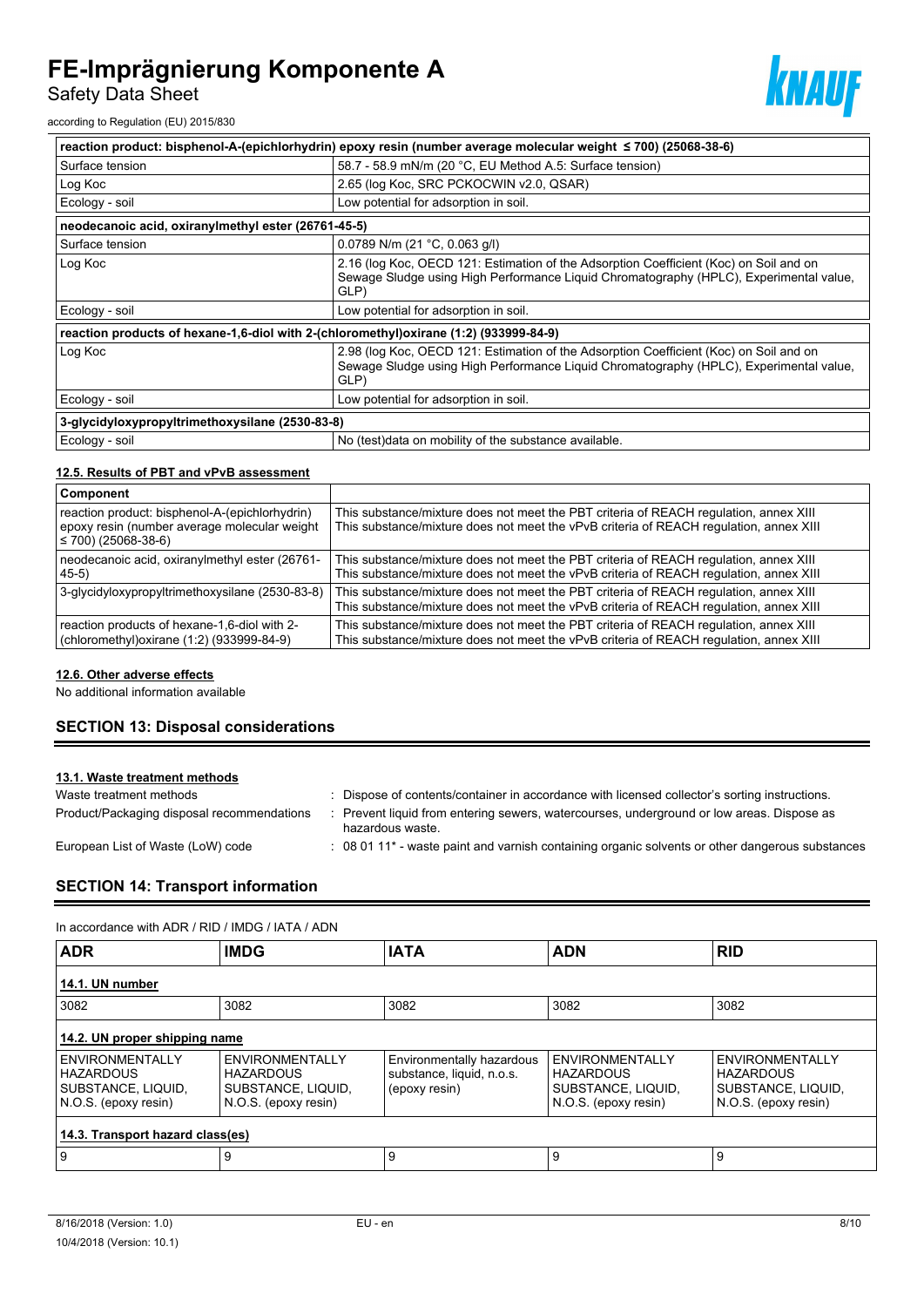Safety Data Sheet



according to Regulation (EU) 2015/830

| reaction product: bisphenol-A-(epichlorhydrin) epoxy resin (number average molecular weight ≤ 700) (25068-38-6) |                                                                                                                                                                                          |  |  |
|-----------------------------------------------------------------------------------------------------------------|------------------------------------------------------------------------------------------------------------------------------------------------------------------------------------------|--|--|
| Surface tension                                                                                                 | 58.7 - 58.9 mN/m (20 °C, EU Method A.5: Surface tension)                                                                                                                                 |  |  |
| Log Koc                                                                                                         | 2.65 (log Koc, SRC PCKOCWIN v2.0, QSAR)                                                                                                                                                  |  |  |
| Ecology - soil                                                                                                  | Low potential for adsorption in soil.                                                                                                                                                    |  |  |
| neodecanoic acid, oxiranylmethyl ester (26761-45-5)                                                             |                                                                                                                                                                                          |  |  |
| Surface tension                                                                                                 | 0.0789 N/m (21 °C, 0.063 g/l)                                                                                                                                                            |  |  |
| Log Koc                                                                                                         | 2.16 (log Koc, OECD 121: Estimation of the Adsorption Coefficient (Koc) on Soil and on<br>Sewage Sludge using High Performance Liquid Chromatography (HPLC), Experimental value,<br>GLP) |  |  |
| Ecology - soil                                                                                                  | Low potential for adsorption in soil.                                                                                                                                                    |  |  |
| reaction products of hexane-1,6-diol with 2-(chloromethyl)oxirane (1:2) (93399-84-9)                            |                                                                                                                                                                                          |  |  |
| Log Koc                                                                                                         | 2.98 (log Koc, OECD 121: Estimation of the Adsorption Coefficient (Koc) on Soil and on<br>Sewage Sludge using High Performance Liquid Chromatography (HPLC), Experimental value,<br>GLP) |  |  |
| Ecology - soil                                                                                                  | Low potential for adsorption in soil.                                                                                                                                                    |  |  |
| 3-glycidyloxypropyltrimethoxysilane (2530-83-8)                                                                 |                                                                                                                                                                                          |  |  |
| Ecology - soil                                                                                                  | No (test) data on mobility of the substance available.                                                                                                                                   |  |  |

### **12.5. Results of PBT and vPvB assessment**

| Component                                                                                                                   |                                                                                                                                                                                 |
|-----------------------------------------------------------------------------------------------------------------------------|---------------------------------------------------------------------------------------------------------------------------------------------------------------------------------|
| reaction product: bisphenol-A-(epichlorhydrin)<br>epoxy resin (number average molecular weight<br>$\leq 700$ ) (25068-38-6) | This substance/mixture does not meet the PBT criteria of REACH regulation, annex XIII<br>This substance/mixture does not meet the vPvB criteria of REACH regulation, annex XIII |
| neodecanoic acid, oxiranylmethyl ester (26761-<br>$45-5)$                                                                   | This substance/mixture does not meet the PBT criteria of REACH regulation, annex XIII<br>This substance/mixture does not meet the vPvB criteria of REACH regulation, annex XIII |
| 3-glycidyloxypropyltrimethoxysilane (2530-83-8)                                                                             | This substance/mixture does not meet the PBT criteria of REACH requlation, annex XIII<br>This substance/mixture does not meet the vPvB criteria of REACH regulation, annex XIII |
| reaction products of hexane-1,6-diol with 2-<br>(chloromethyl)oxirane (1:2) (933999-84-9)                                   | This substance/mixture does not meet the PBT criteria of REACH regulation, annex XIII<br>This substance/mixture does not meet the vPvB criteria of REACH regulation, annex XIII |

#### **12.6. Other adverse effects**

No additional information available

# **SECTION 13: Disposal considerations**

#### **13.1. Waste treatment methods**

| Waste treatment methods                    | Dispose of contents/container in accordance with licensed collector's sorting instructions.                 |
|--------------------------------------------|-------------------------------------------------------------------------------------------------------------|
| Product/Packaging disposal recommendations | Prevent liquid from entering sewers, watercourses, underground or low areas. Dispose as<br>hazardous waste. |
| European List of Waste (LoW) code          | : 08 01 11* - waste paint and varnish containing organic solvents or other dangerous substances             |

# **SECTION 14: Transport information**

#### In accordance with ADR / RID / IMDG / IATA / ADN

| <b>ADR</b>                                                                        | <b>IMDG</b>                                                                              | <b>IATA</b>                                                             | <b>ADN</b>                                                                        | <b>RID</b>                                                                        |
|-----------------------------------------------------------------------------------|------------------------------------------------------------------------------------------|-------------------------------------------------------------------------|-----------------------------------------------------------------------------------|-----------------------------------------------------------------------------------|
| 14.1. UN number                                                                   |                                                                                          |                                                                         |                                                                                   |                                                                                   |
| 3082                                                                              | 3082                                                                                     | 3082                                                                    | 3082                                                                              | 3082                                                                              |
| 14.2. UN proper shipping name                                                     |                                                                                          |                                                                         |                                                                                   |                                                                                   |
| ENVIRONMENTALLY<br><b>HAZARDOUS</b><br>SUBSTANCE, LIQUID,<br>N.O.S. (epoxy resin) | <b>ENVIRONMENTALLY</b><br><b>HAZARDOUS</b><br>SUBSTANCE, LIQUID,<br>N.O.S. (epoxy resin) | Environmentally hazardous<br>substance, liquid, n.o.s.<br>(epoxy resin) | ENVIRONMENTALLY<br><b>HAZARDOUS</b><br>SUBSTANCE, LIQUID,<br>N.O.S. (epoxy resin) | ENVIRONMENTALLY<br><b>HAZARDOUS</b><br>SUBSTANCE, LIQUID,<br>N.O.S. (epoxy resin) |
| 14.3. Transport hazard class(es)                                                  |                                                                                          |                                                                         |                                                                                   |                                                                                   |
| و ا                                                                               | 9                                                                                        | 9                                                                       | 9                                                                                 | 9                                                                                 |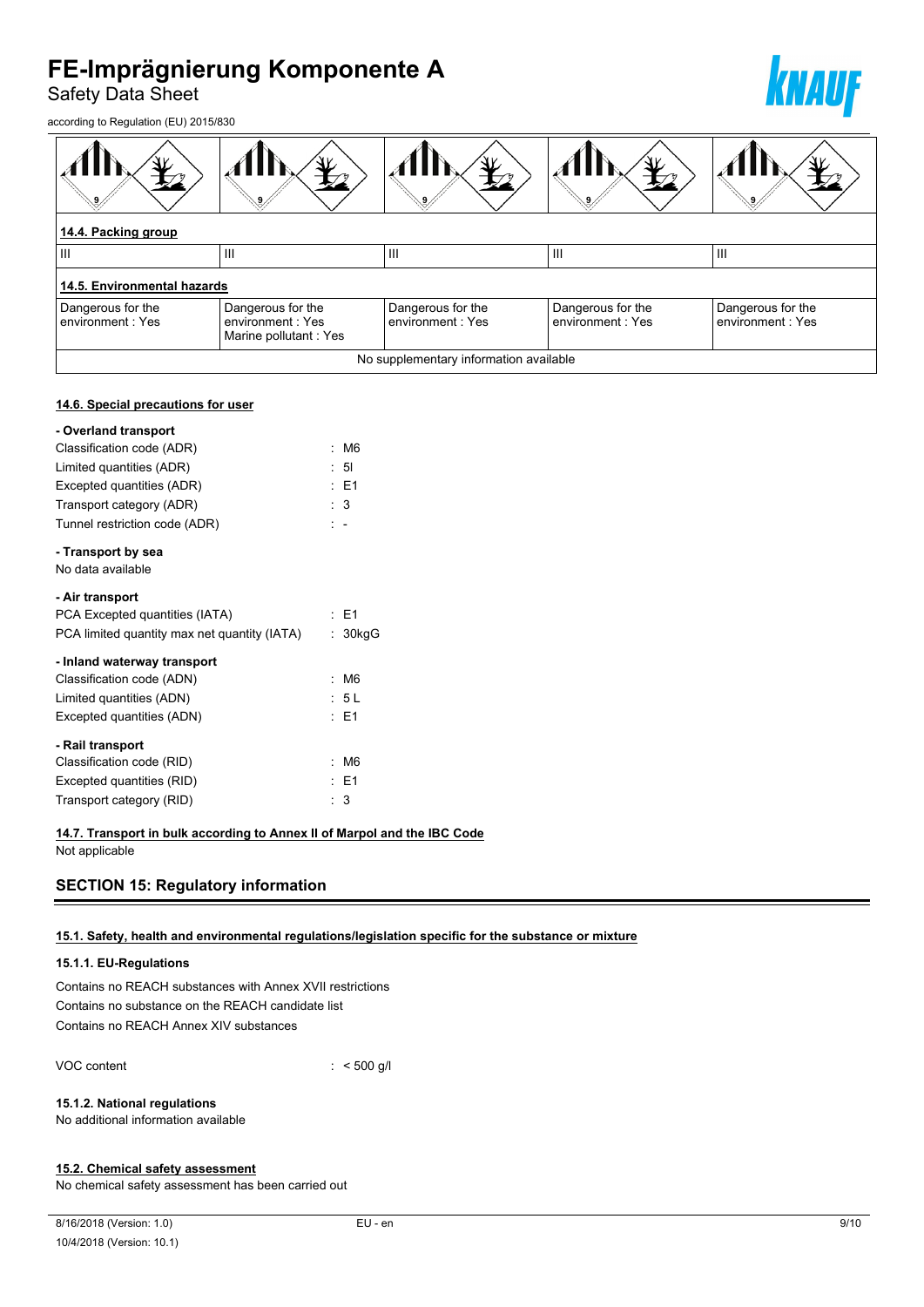Safety Data Sheet

according to Regulation (EU) 2015/830



| 14.4. Packing group                   |                                                                 |                                        |                                       |                                       |  |
|---------------------------------------|-----------------------------------------------------------------|----------------------------------------|---------------------------------------|---------------------------------------|--|
| Ш                                     | Ш                                                               | Ш                                      | Ш                                     | III                                   |  |
| 14.5. Environmental hazards           |                                                                 |                                        |                                       |                                       |  |
| Dangerous for the<br>environment: Yes | Dangerous for the<br>environment : Yes<br>Marine pollutant: Yes | Dangerous for the<br>environment: Yes  | Dangerous for the<br>environment: Yes | Dangerous for the<br>environment: Yes |  |
|                                       |                                                                 | No supplementary information available |                                       |                                       |  |

#### **14.6. Special precautions for user**

| - Overland transport                         |     |                |
|----------------------------------------------|-----|----------------|
| Classification code (ADR)                    |     | M6             |
| Limited quantities (ADR)                     |     | : 51           |
| Excepted quantities (ADR)                    |     | : E1           |
| Transport category (ADR)                     |     | $\therefore$ 3 |
| Tunnel restriction code (ADR)                | t - |                |
| - Transport by sea                           |     |                |
| No data available                            |     |                |
| - Air transport                              |     |                |
| PCA Excepted quantities (IATA)               |     | $·$ F1         |
| PCA limited quantity max net quantity (IATA) | t.  | 30kgG          |
| - Inland waterway transport                  |     |                |
| Classification code (ADN)                    |     | M <sub>6</sub> |
| Limited quantities (ADN)                     |     | : 5 L          |
| Excepted quantities (ADN)                    |     | : E1           |
| - Rail transport                             |     |                |
| Classification code (RID)                    |     | M <sub>6</sub> |
| Excepted quantities (RID)                    |     | : E1           |
| Transport category (RID)                     | ۰,  | 3              |

#### **14.7. Transport in bulk according to Annex II of Marpol and the IBC Code**

Not applicable

# **SECTION 15: Regulatory information**

### **15.1. Safety, health and environmental regulations/legislation specific for the substance or mixture**

#### **15.1.1. EU-Regulations**

Contains no REACH substances with Annex XVII restrictions Contains no substance on the REACH candidate list Contains no REACH Annex XIV substances

VOC content : < 500 g/l

#### **15.1.2. National regulations**

No additional information available

#### **15.2. Chemical safety assessment**

No chemical safety assessment has been carried out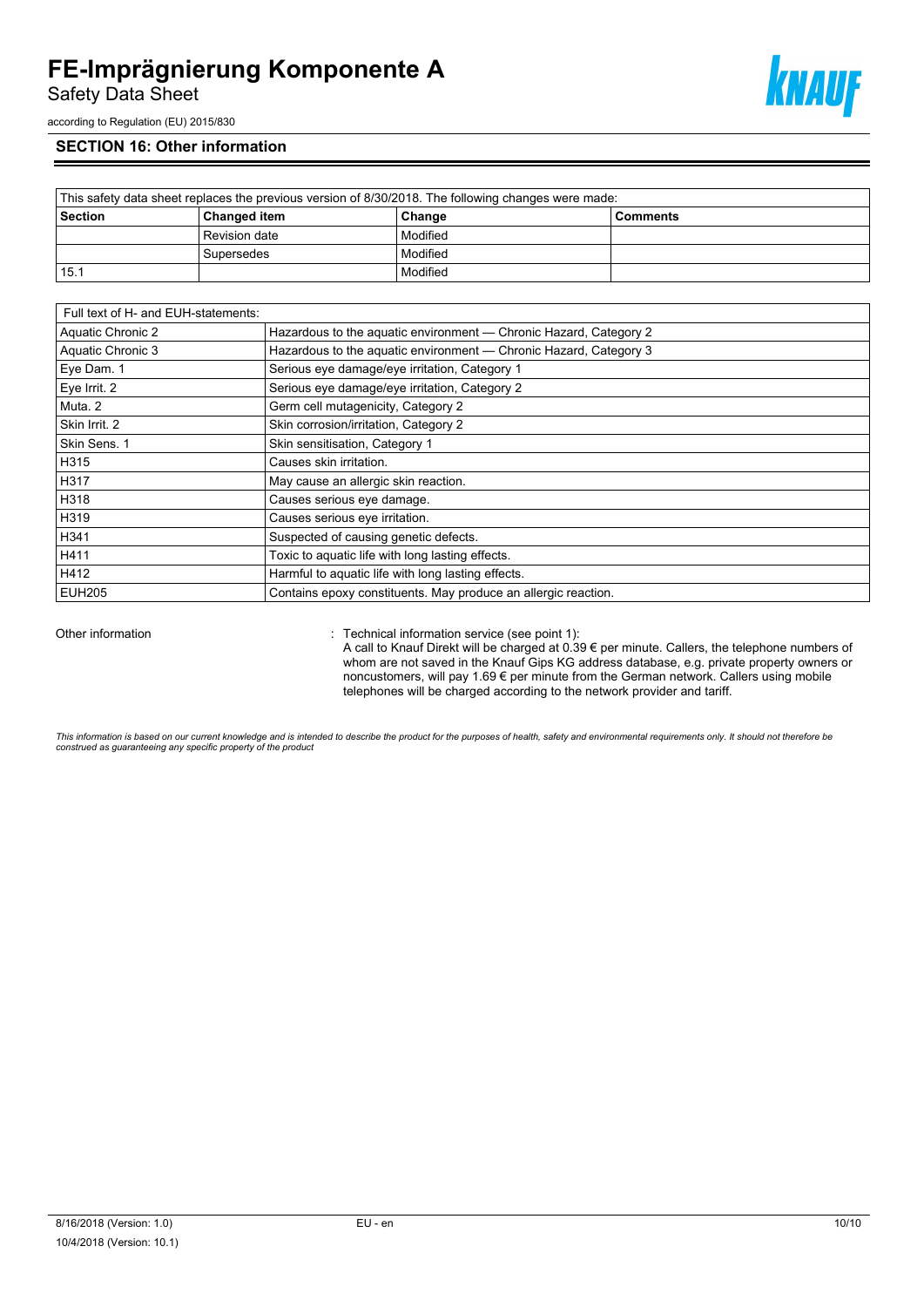Safety Data Sheet



according to Regulation (EU) 2015/830

## **SECTION 16: Other information**

| This safety data sheet replaces the previous version of 8/30/2018. The following changes were made: |                     |          |                 |  |
|-----------------------------------------------------------------------------------------------------|---------------------|----------|-----------------|--|
| Section                                                                                             | <b>Changed item</b> | Change   | <b>Comments</b> |  |
|                                                                                                     | Revision date       | Modified |                 |  |
|                                                                                                     | Supersedes          | Modified |                 |  |
| 15.1                                                                                                |                     | Modified |                 |  |

| Full text of H- and EUH-statements: |                                                                   |
|-------------------------------------|-------------------------------------------------------------------|
| Aquatic Chronic 2                   | Hazardous to the aquatic environment - Chronic Hazard, Category 2 |
| Aquatic Chronic 3                   | Hazardous to the aquatic environment - Chronic Hazard, Category 3 |
| Eye Dam. 1                          | Serious eye damage/eye irritation, Category 1                     |
| Eye Irrit. 2                        | Serious eye damage/eye irritation, Category 2                     |
| Muta, 2                             | Germ cell mutagenicity, Category 2                                |
| Skin Irrit. 2                       | Skin corrosion/irritation, Category 2                             |
| Skin Sens. 1                        | Skin sensitisation, Category 1                                    |
| H315                                | Causes skin irritation.                                           |
| H317                                | May cause an allergic skin reaction.                              |
| H318                                | Causes serious eye damage.                                        |
| H319                                | Causes serious eye irritation.                                    |
| H341                                | Suspected of causing genetic defects.                             |
| H411                                | Toxic to aquatic life with long lasting effects.                  |
| H412                                | Harmful to aquatic life with long lasting effects.                |
| <b>EUH205</b>                       | Contains epoxy constituents. May produce an allergic reaction.    |

Other information **Other information** : Technical information service (see point 1):

A call to Knauf Direkt will be charged at 0.39 € per minute. Callers, the telephone numbers of whom are not saved in the Knauf Gips KG address database, e.g. private property owners or noncustomers, will pay 1.69 € per minute from the German network. Callers using mobile telephones will be charged according to the network provider and tariff.

This information is based on our current knowledge and is intended to describe the product for the purposes of health, safety and environmental requirements only. It should not therefore be<br>construed as guaranteeing any sp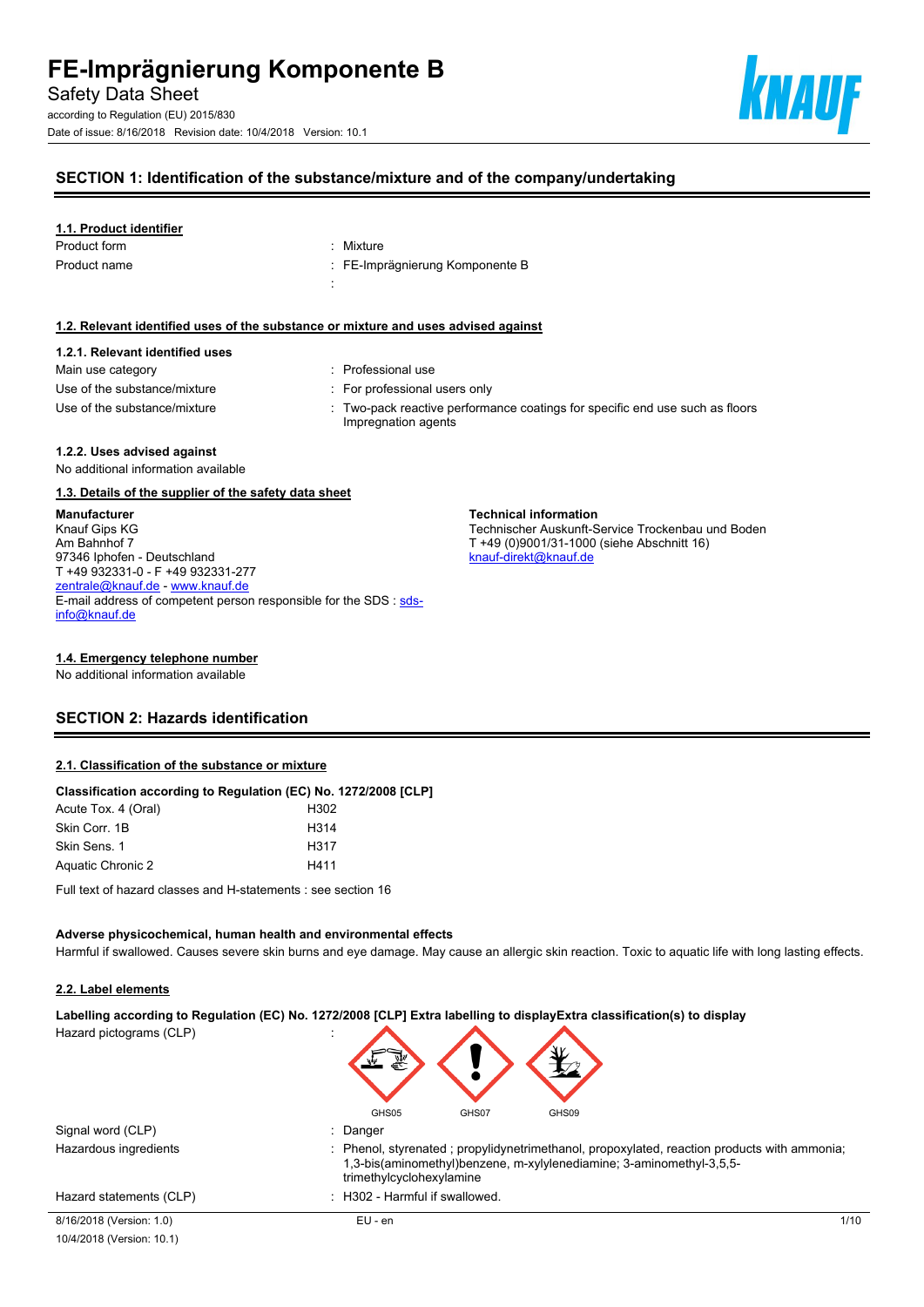according to Regulation (EU) 2015/830 Date of issue: 8/16/2018 Revision date: 10/4/2018 Version: 10.1



# **SECTION 1: Identification of the substance/mixture and of the company/undertaking**

#### **1.1. Product identifier**

| Product form | : Mixture                       |
|--------------|---------------------------------|
| Product name | : FE-Imprägnierung Komponente B |
|              |                                 |

#### **1.2. Relevant identified uses of the substance or mixture and uses advised against**

# **1.2.1. Relevant identified uses**

| Main use category            |  |
|------------------------------|--|
| Use of the substance/mixture |  |
| Use of the substance/mixture |  |

- : Professional use
- : For professional users only
- : Two-pack reactive performance coatings for specific end use such as floors Impregnation agents

**Technical information**

[knauf-direkt@knauf.de](mailto:knauf-direkt@knauf.de)

Technischer Auskunft-Service Trockenbau und Boden

T +49 (0)9001/31-1000 (siehe Abschnitt 16)

#### **1.2.2. Uses advised against**

No additional information available

#### **1.3. Details of the supplier of the safety data sheet**

**Manufacturer** Knauf Gips KG Am Bahnhof 7 97346 Iphofen - Deutschland T +49 932331-0 - F +49 932331-277 [zentrale@knauf.de](mailto:zentrale@knauf.de) - <www.knauf.de> E-mail address of competent person responsible for the SDS : [sds](mailto:sds-info@knauf.de)[info@knauf.de](mailto:sds-info@knauf.de)

#### **1.4. Emergency telephone number**

No additional information available

### **SECTION 2: Hazards identification**

#### **2.1. Classification of the substance or mixture**

#### **Classification according to Regulation (EC) No. 1272/2008 [CLP]**

| Acute Tox. 4 (Oral) | H302              |
|---------------------|-------------------|
| Skin Corr. 1B       | H <sub>3</sub> 14 |
| Skin Sens. 1        | H <sub>3</sub> 17 |
| Aquatic Chronic 2   | H411              |
|                     |                   |

Full text of hazard classes and H-statements : see section 16

# **Adverse physicochemical, human health and environmental effects**

Harmful if swallowed. Causes severe skin burns and eye damage. May cause an allergic skin reaction. Toxic to aquatic life with long lasting effects.

# **2.2. Label elements**

**Labelling according to Regulation (EC) No. 1272/2008 [CLP] Extra labelling to displayExtra classification(s) to display**

Hazard pictograms (CLP) :

| <br><br>€ |       |       |
|-----------|-------|-------|
| GHS05     | GHS07 | GHS09 |

|                         | $\sim$                         | $\cdots$ | 1.1.1.1.7                                                                                                                                                           |
|-------------------------|--------------------------------|----------|---------------------------------------------------------------------------------------------------------------------------------------------------------------------|
| Signal word (CLP)       | Danger                         |          |                                                                                                                                                                     |
| Hazardous ingredients   | trimethylcyclohexylamine       |          | : Phenol, styrenated; propylidynetrimethanol, propoxylated, reaction products with ammonia;<br>1,3-bis(aminomethyl)benzene, m-xylylenediamine; 3-aminomethyl-3,5,5- |
| Hazard statements (CLP) | : H302 - Harmful if swallowed. |          |                                                                                                                                                                     |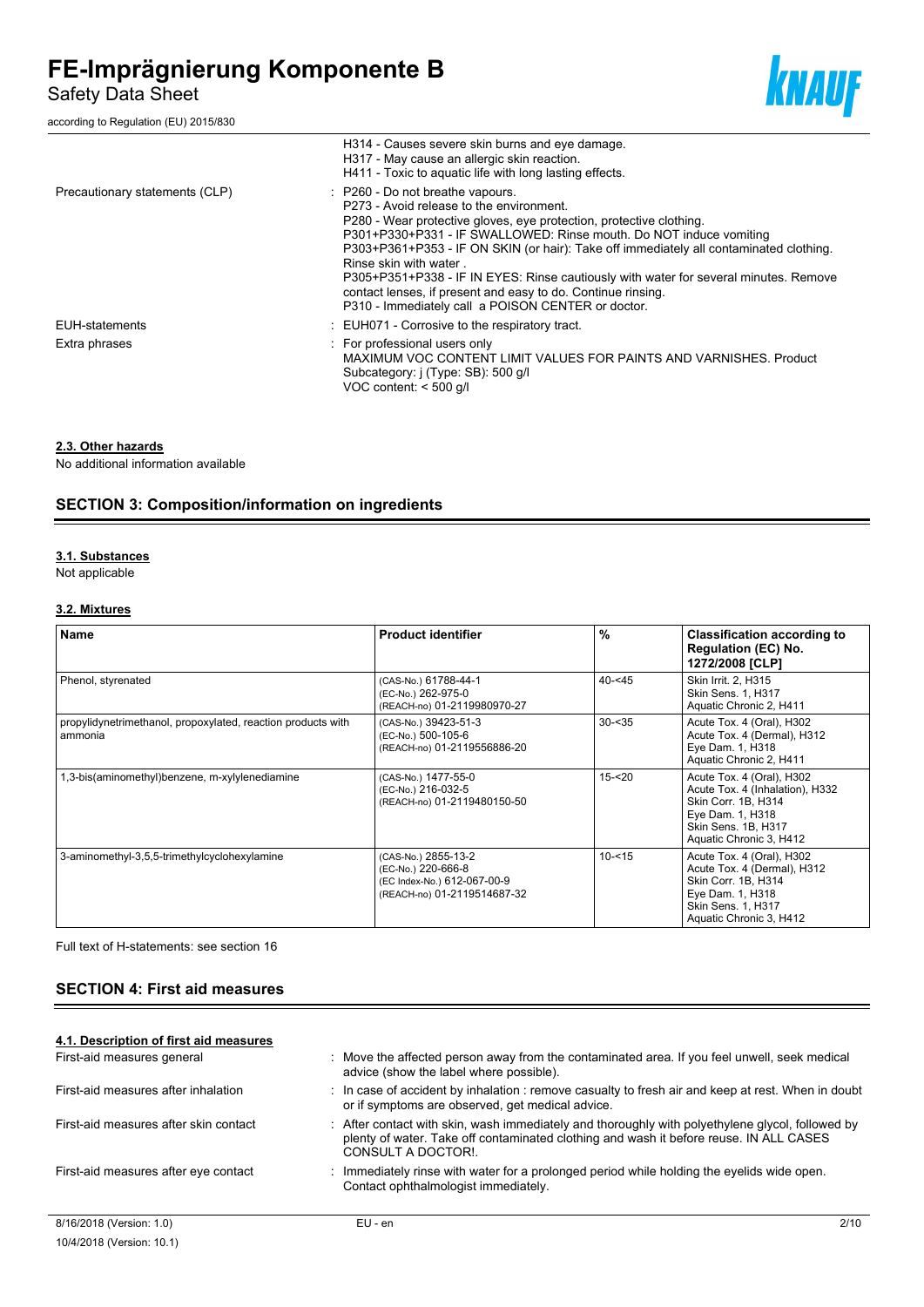Safety Data Sheet

according to Regulation (EU) 2015/830



|                                | H314 - Causes severe skin burns and eye damage.<br>H317 - May cause an allergic skin reaction.<br>H411 - Toxic to aquatic life with long lasting effects.                                                                                                                                                                                                                                                                                                                                                                                                  |
|--------------------------------|------------------------------------------------------------------------------------------------------------------------------------------------------------------------------------------------------------------------------------------------------------------------------------------------------------------------------------------------------------------------------------------------------------------------------------------------------------------------------------------------------------------------------------------------------------|
| Precautionary statements (CLP) | : P260 - Do not breathe vapours.<br>P273 - Avoid release to the environment.<br>P280 - Wear protective gloves, eye protection, protective clothing.<br>P301+P330+P331 - IF SWALLOWED: Rinse mouth. Do NOT induce vomiting<br>P303+P361+P353 - IF ON SKIN (or hair): Take off immediately all contaminated clothing.<br>Rinse skin with water<br>P305+P351+P338 - IF IN EYES: Rinse cautiously with water for several minutes. Remove<br>contact lenses, if present and easy to do. Continue rinsing.<br>P310 - Immediately call a POISON CENTER or doctor. |
| EUH-statements                 | : EUH071 - Corrosive to the respiratory tract.                                                                                                                                                                                                                                                                                                                                                                                                                                                                                                             |
| Extra phrases                  | : For professional users only<br>MAXIMUM VOC CONTENT LIMIT VALUES FOR PAINTS AND VARNISHES. Product<br>Subcategory: i (Type: SB): 500 g/l<br>VOC content: $<$ 500 g/l                                                                                                                                                                                                                                                                                                                                                                                      |

#### **2.3. Other hazards**

No additional information available

# **SECTION 3: Composition/information on ingredients**

#### **3.1. Substances**

Not applicable

#### **3.2. Mixtures**

| <b>Name</b>                                                             | <b>Product identifier</b>                                                                               | %          | <b>Classification according to</b><br><b>Regulation (EC) No.</b><br>1272/2008 [CLP]                                                                       |
|-------------------------------------------------------------------------|---------------------------------------------------------------------------------------------------------|------------|-----------------------------------------------------------------------------------------------------------------------------------------------------------|
| Phenol, styrenated                                                      | (CAS-No.) 61788-44-1<br>(EC-No.) 262-975-0<br>(REACH-no) 01-2119980970-27                               | $40 - 545$ | Skin Irrit. 2. H315<br>Skin Sens. 1, H317<br>Aquatic Chronic 2, H411                                                                                      |
| propylidynetrimethanol, propoxylated, reaction products with<br>ammonia | (CAS-No.) 39423-51-3<br>(EC-No.) 500-105-6<br>(REACH-no) 01-2119556886-20                               | $30 - 35$  | Acute Tox. 4 (Oral), H302<br>Acute Tox. 4 (Dermal), H312<br>Eye Dam. 1, H318<br>Aquatic Chronic 2, H411                                                   |
| 1,3-bis(aminomethyl)benzene, m-xylylenediamine                          | (CAS-No.) 1477-55-0<br>(EC-No.) 216-032-5<br>(REACH-no) 01-2119480150-50                                | $15 - 20$  | Acute Tox. 4 (Oral), H302<br>Acute Tox. 4 (Inhalation), H332<br>Skin Corr. 1B. H314<br>Eye Dam. 1, H318<br>Skin Sens. 1B. H317<br>Aquatic Chronic 3, H412 |
| 3-aminomethyl-3,5,5-trimethylcyclohexylamine                            | (CAS-No.) 2855-13-2<br>(EC-No.) 220-666-8<br>(EC Index-No.) 612-067-00-9<br>(REACH-no) 01-2119514687-32 | $10 - 15$  | Acute Tox. 4 (Oral), H302<br>Acute Tox. 4 (Dermal), H312<br>Skin Corr. 1B, H314<br>Eye Dam. 1, H318<br>Skin Sens. 1, H317<br>Aquatic Chronic 3, H412      |

Full text of H-statements: see section 16

# **SECTION 4: First aid measures**

| 4.1. Description of first aid measures |                                                                                                                                                                                                                 |      |  |
|----------------------------------------|-----------------------------------------------------------------------------------------------------------------------------------------------------------------------------------------------------------------|------|--|
| First-aid measures general             | Move the affected person away from the contaminated area. If you feel unwell, seek medical<br>advice (show the label where possible).                                                                           |      |  |
| First-aid measures after inhalation    | : In case of accident by inhalation : remove casualty to fresh air and keep at rest. When in doubt<br>or if symptoms are observed, get medical advice.                                                          |      |  |
| First-aid measures after skin contact  | . After contact with skin, wash immediately and thoroughly with polyethylene glycol, followed by<br>plenty of water. Take off contaminated clothing and wash it before reuse. IN ALL CASES<br>CONSULT A DOCTOR! |      |  |
| First-aid measures after eye contact   | : Immediately rinse with water for a prolonged period while holding the eyelids wide open.<br>Contact ophthalmologist immediately.                                                                              |      |  |
| 8/16/2018 (Version: 1.0)               | $EU - en$                                                                                                                                                                                                       | 2/10 |  |
| 10/4/2018 (Version: 10.1)              |                                                                                                                                                                                                                 |      |  |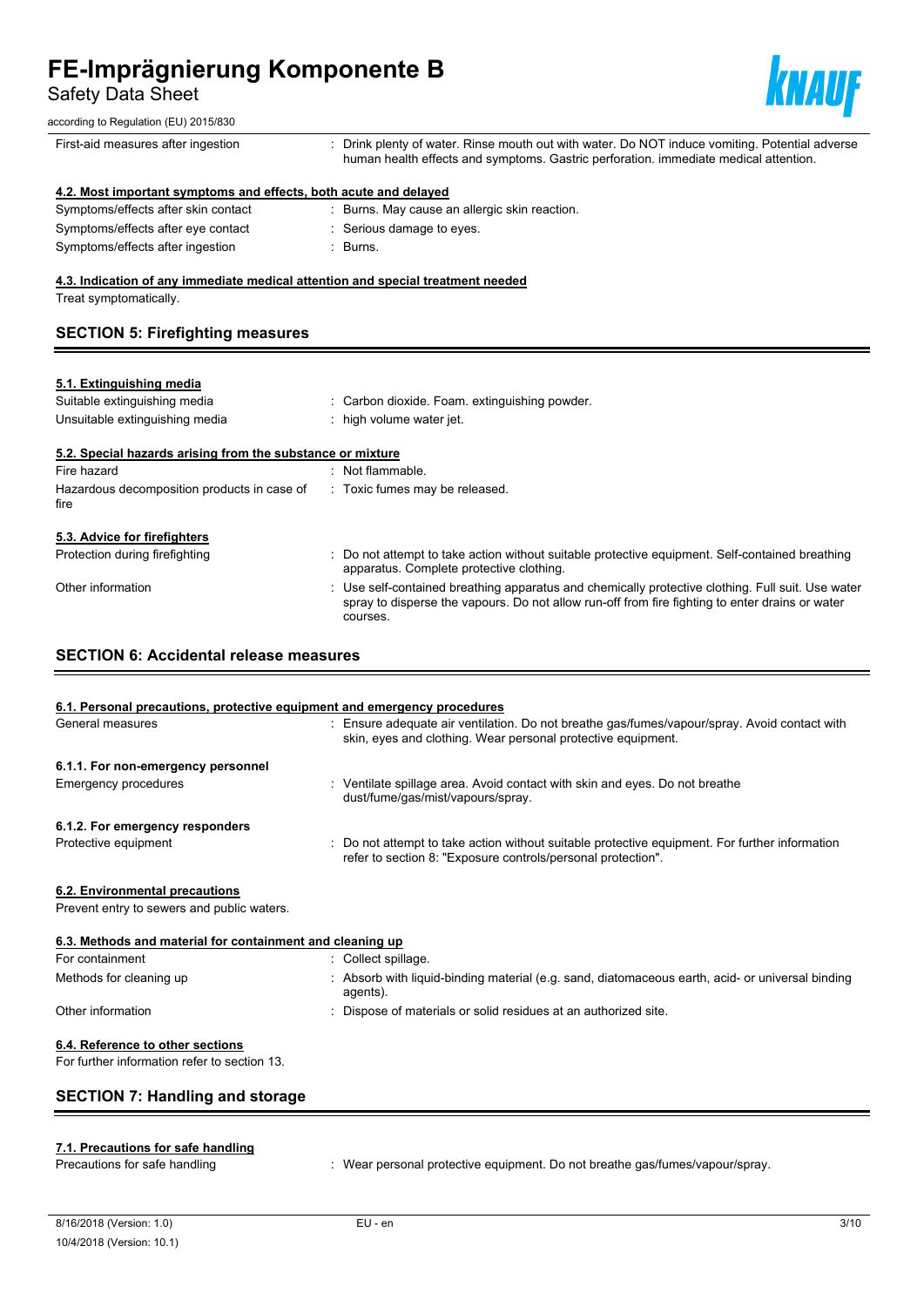Safety Data Sheet



| Salety Data Sheet                                                               | ШШ                                                                                                                                                                                                             |
|---------------------------------------------------------------------------------|----------------------------------------------------------------------------------------------------------------------------------------------------------------------------------------------------------------|
| according to Regulation (EU) 2015/830                                           |                                                                                                                                                                                                                |
| First-aid measures after ingestion                                              | : Drink plenty of water. Rinse mouth out with water. Do NOT induce vomiting. Potential adverse<br>human health effects and symptoms. Gastric perforation. immediate medical attention.                         |
| 4.2. Most important symptoms and effects, both acute and delayed                |                                                                                                                                                                                                                |
| Symptoms/effects after skin contact                                             | : Burns. May cause an allergic skin reaction.                                                                                                                                                                  |
| Symptoms/effects after eye contact                                              | : Serious damage to eyes.                                                                                                                                                                                      |
| Symptoms/effects after ingestion                                                | : Burns.                                                                                                                                                                                                       |
| 4.3. Indication of any immediate medical attention and special treatment needed |                                                                                                                                                                                                                |
| Treat symptomatically.                                                          |                                                                                                                                                                                                                |
| <b>SECTION 5: Firefighting measures</b>                                         |                                                                                                                                                                                                                |
|                                                                                 |                                                                                                                                                                                                                |
| 5.1. Extinguishing media                                                        |                                                                                                                                                                                                                |
| Suitable extinguishing media                                                    | : Carbon dioxide. Foam. extinguishing powder.                                                                                                                                                                  |
| Unsuitable extinguishing media                                                  | : high volume water jet.                                                                                                                                                                                       |
| 5.2. Special hazards arising from the substance or mixture                      |                                                                                                                                                                                                                |
| Fire hazard                                                                     | : Not flammable.                                                                                                                                                                                               |
| Hazardous decomposition products in case of<br>fire                             | : Toxic fumes may be released.                                                                                                                                                                                 |
| 5.3. Advice for firefighters                                                    |                                                                                                                                                                                                                |
| Protection during firefighting                                                  | : Do not attempt to take action without suitable protective equipment. Self-contained breathing<br>apparatus. Complete protective clothing.                                                                    |
| Other information                                                               | Use self-contained breathing apparatus and chemically protective clothing. Full suit. Use water<br>spray to disperse the vapours. Do not allow run-off from fire fighting to enter drains or water<br>courses. |
| <b>SECTION 6: Accidental release measures</b>                                   |                                                                                                                                                                                                                |
|                                                                                 |                                                                                                                                                                                                                |
| 6.1. Personal precautions, protective equipment and emergency procedures        |                                                                                                                                                                                                                |
| General measures                                                                | : Ensure adequate air ventilation. Do not breathe gas/fumes/vapour/spray. Avoid contact with<br>skin, eyes and clothing. Wear personal protective equipment.                                                   |
| 6.1.1. For non-emergency personnel                                              |                                                                                                                                                                                                                |
| <b>Emergency procedures</b>                                                     | : Ventilate spillage area. Avoid contact with skin and eyes. Do not breathe<br>dust/fume/gas/mist/vapours/spray.                                                                                               |
| 6.1.2. For emergency responders                                                 |                                                                                                                                                                                                                |
| Protective equipment                                                            | : Do not attempt to take action without suitable protective equipment. For further information<br>refer to section 8: "Exposure controls/personal protection".                                                 |

# **6.2. Environmental precautions**

**Prevent entry to sewers and public waters.** 

| 6.3. Methods and material for containment and cleaning up<br>For containment | Collect spillage.                                                                                            |
|------------------------------------------------------------------------------|--------------------------------------------------------------------------------------------------------------|
| Methods for cleaning up                                                      | : Absorb with liquid-binding material (e.g. sand, diatomaceous earth, acid- or universal binding<br>agents). |
| Other information                                                            | : Dispose of materials or solid residues at an authorized site.                                              |
| 6.4. Reference to other sections                                             |                                                                                                              |

For further information refer to section 13.

# **SECTION 7: Handling and storage**

# **7.1. Precautions for safe handling**

Precautions for safe handling : Wear personal protective equipment. Do not breathe gas/fumes/vapour/spray.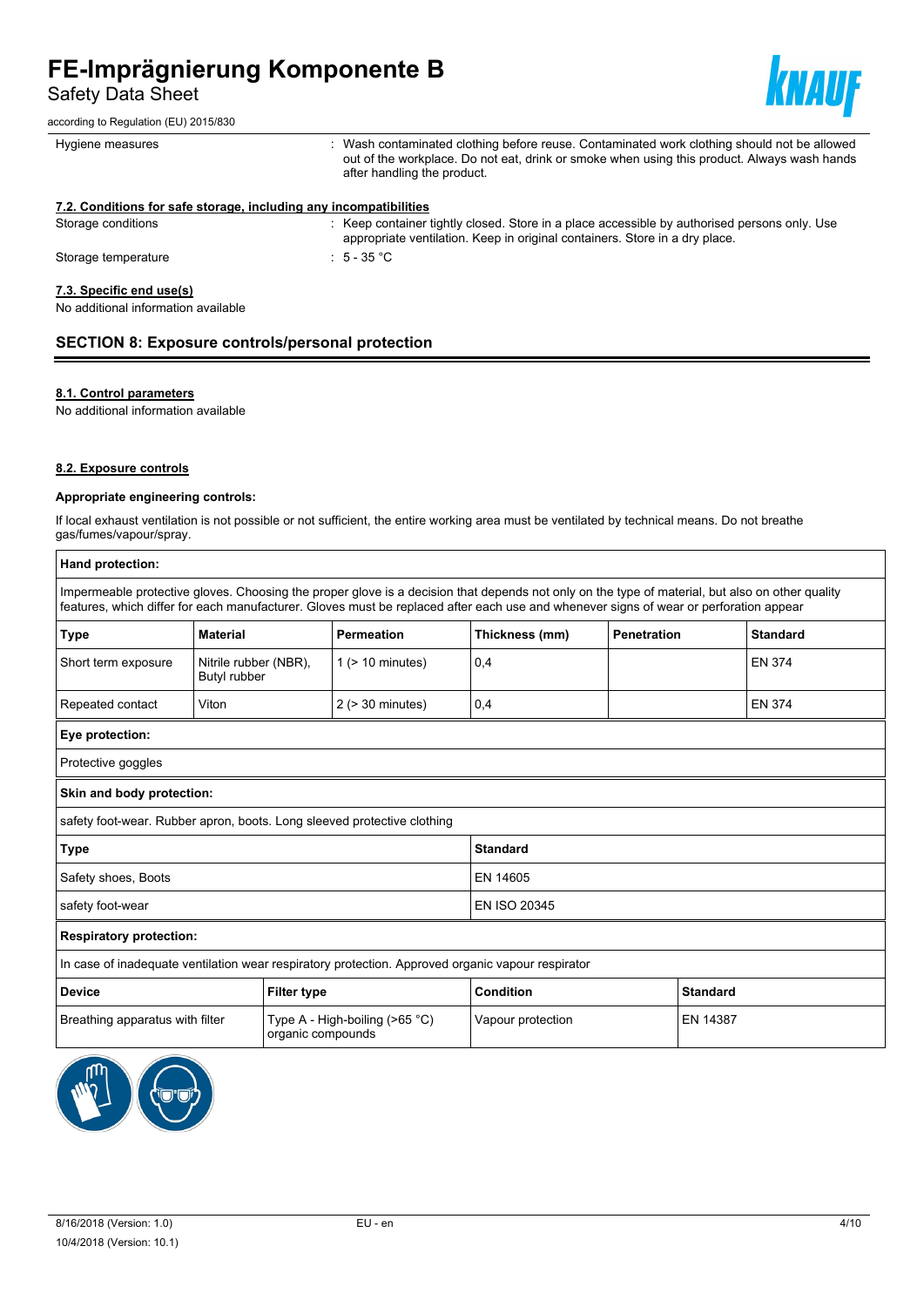Safety Data Sheet

according to Regulation (EU) 2015/830



| Hygiene measures                                                  | : Wash contaminated clothing before reuse. Contaminated work clothing should not be allowed<br>out of the workplace. Do not eat, drink or smoke when using this product. Always wash hands<br>after handling the product. |
|-------------------------------------------------------------------|---------------------------------------------------------------------------------------------------------------------------------------------------------------------------------------------------------------------------|
| 7.2. Conditions for safe storage, including any incompatibilities |                                                                                                                                                                                                                           |
| Storage conditions                                                | : Keep container tightly closed. Store in a place accessible by authorised persons only. Use<br>appropriate ventilation. Keep in original containers. Store in a dry place.                                               |
| Storage temperature                                               | $\pm$ 5 - 35 °C $\pm$                                                                                                                                                                                                     |
| 7.3. Specific end use(s)<br>No additional information available   |                                                                                                                                                                                                                           |

# **SECTION 8: Exposure controls/personal protection**

#### **8.1. Control parameters**

No additional information available

#### **8.2. Exposure controls**

#### **Appropriate engineering controls:**

If local exhaust ventilation is not possible or not sufficient, the entire working area must be ventilated by technical means. Do not breathe gas/fumes/vapour/spray.

| Hand protection:                                                                                  |                                                                                                                                       |                       |                |                    |                                                                                                                                                 |
|---------------------------------------------------------------------------------------------------|---------------------------------------------------------------------------------------------------------------------------------------|-----------------------|----------------|--------------------|-------------------------------------------------------------------------------------------------------------------------------------------------|
|                                                                                                   | features, which differ for each manufacturer. Gloves must be replaced after each use and whenever signs of wear or perforation appear |                       |                |                    | Impermeable protective gloves. Choosing the proper glove is a decision that depends not only on the type of material, but also on other quality |
| <b>Type</b>                                                                                       | <b>Material</b>                                                                                                                       | <b>Permeation</b>     | Thickness (mm) | <b>Penetration</b> | <b>Standard</b>                                                                                                                                 |
| Short term exposure                                                                               | Nitrile rubber (NBR),<br>Butyl rubber                                                                                                 | $1$ ( $> 10$ minutes) | 0,4            |                    | <b>EN 374</b>                                                                                                                                   |
| Repeated contact                                                                                  | Viton                                                                                                                                 | $2$ ( $>$ 30 minutes) | 0,4            |                    | <b>EN 374</b>                                                                                                                                   |
| Eye protection:                                                                                   |                                                                                                                                       |                       |                |                    |                                                                                                                                                 |
| Protective goggles                                                                                |                                                                                                                                       |                       |                |                    |                                                                                                                                                 |
| Skin and body protection:                                                                         |                                                                                                                                       |                       |                |                    |                                                                                                                                                 |
|                                                                                                   | safety foot-wear. Rubber apron, boots. Long sleeved protective clothing                                                               |                       |                |                    |                                                                                                                                                 |
| <b>Type</b><br><b>Standard</b>                                                                    |                                                                                                                                       |                       |                |                    |                                                                                                                                                 |
| Safety shoes, Boots                                                                               |                                                                                                                                       |                       | EN 14605       |                    |                                                                                                                                                 |
| safety foot-wear                                                                                  |                                                                                                                                       |                       | EN ISO 20345   |                    |                                                                                                                                                 |
| <b>Respiratory protection:</b>                                                                    |                                                                                                                                       |                       |                |                    |                                                                                                                                                 |
| In case of inadequate ventilation wear respiratory protection. Approved organic vapour respirator |                                                                                                                                       |                       |                |                    |                                                                                                                                                 |
| <b>Device</b><br><b>Filter type</b>                                                               |                                                                                                                                       | Condition             |                | <b>Standard</b>    |                                                                                                                                                 |
| Type A - High-boiling (>65 °C)<br>Breathing apparatus with filter<br>organic compounds            |                                                                                                                                       | Vapour protection     |                | EN 14387           |                                                                                                                                                 |
|                                                                                                   |                                                                                                                                       |                       |                |                    |                                                                                                                                                 |

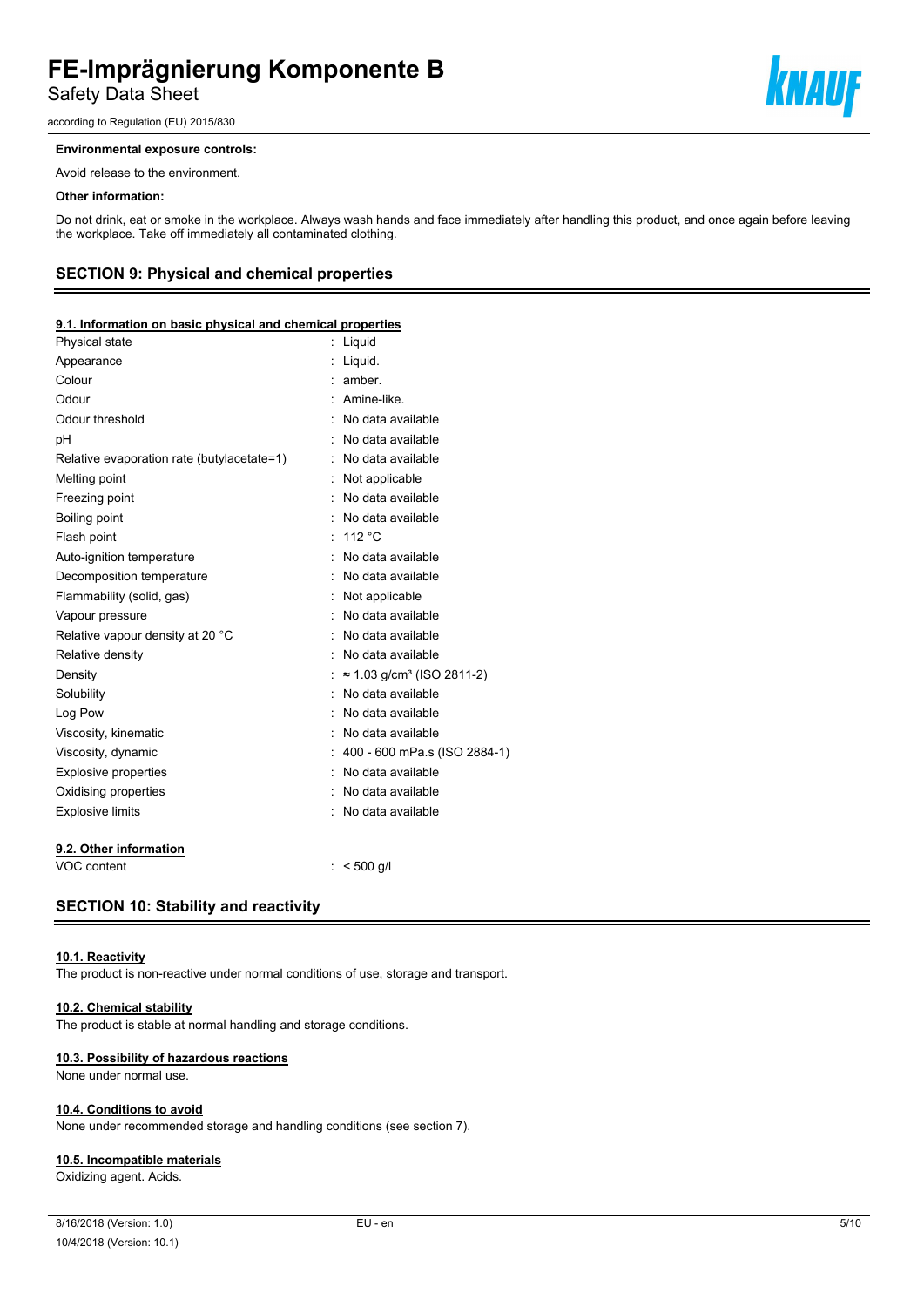Safety Data Sheet

according to Regulation (EU) 2015/830

#### **Environmental exposure controls:**

Avoid release to the environment.

#### **Other information:**

Do not drink, eat or smoke in the workplace. Always wash hands and face immediately after handling this product, and once again before leaving the workplace. Take off immediately all contaminated clothing.

#### **SECTION 9: Physical and chemical properties**

#### **9.1. Information on basic physical and chemical properties**

| Physical state                             | Liquid                                        |
|--------------------------------------------|-----------------------------------------------|
| Appearance                                 | Liquid.                                       |
| Colour                                     | amber.                                        |
| Odour                                      | Amine-like.                                   |
| Odour threshold                            | No data available                             |
| рH                                         | No data available                             |
| Relative evaporation rate (butylacetate=1) | No data available                             |
| Melting point                              | Not applicable                                |
| Freezing point                             | No data available                             |
| <b>Boiling point</b>                       | No data available                             |
| Flash point                                | 112 °C                                        |
| Auto-ignition temperature                  | No data available                             |
| Decomposition temperature                  | No data available                             |
| Flammability (solid, gas)                  | Not applicable                                |
| Vapour pressure                            | No data available                             |
| Relative vapour density at 20 °C           | No data available                             |
| Relative density                           | No data available                             |
| Density                                    | $\approx$ 1.03 g/cm <sup>3</sup> (ISO 2811-2) |
| Solubility                                 | No data available                             |
| Log Pow                                    | No data available                             |
| Viscosity, kinematic                       | No data available                             |
| Viscosity, dynamic                         | 400 - 600 mPa.s (ISO 2884-1)                  |
| <b>Explosive properties</b>                | No data available                             |
| Oxidising properties                       | No data available                             |
| <b>Explosive limits</b>                    | No data available                             |
| 9.2. Other information                     |                                               |
| VOC content                                | $< 500$ q/l                                   |

#### **SECTION 10: Stability and reactivity**

#### **10.1. Reactivity**

The product is non-reactive under normal conditions of use, storage and transport.

#### **10.2. Chemical stability**

The product is stable at normal handling and storage conditions.

#### **10.3. Possibility of hazardous reactions**

None under normal use.

#### **10.4. Conditions to avoid**

None under recommended storage and handling conditions (see section 7).

#### **10.5. Incompatible materials**

Oxidizing agent. Acids.

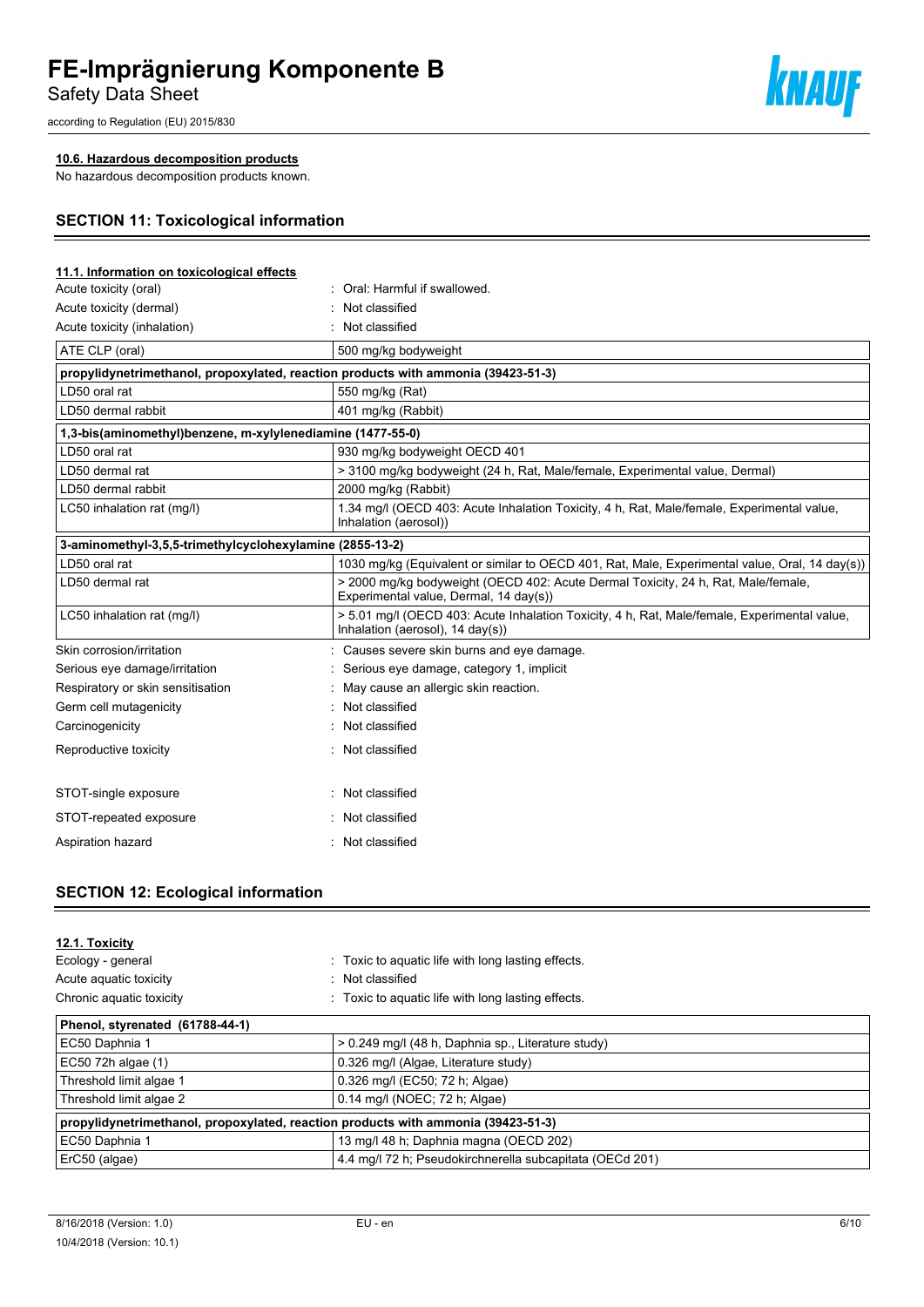Safety Data Sheet

according to Regulation (EU) 2015/830

### **10.6. Hazardous decomposition products**

No hazardous decomposition products known.

# **SECTION 11: Toxicological information**

| 11.1. Information on toxicological effects                 |                                                                                                                                  |
|------------------------------------------------------------|----------------------------------------------------------------------------------------------------------------------------------|
| Acute toxicity (oral)                                      | Oral: Harmful if swallowed.                                                                                                      |
| Acute toxicity (dermal)                                    | Not classified                                                                                                                   |
| Acute toxicity (inhalation)                                | Not classified                                                                                                                   |
| ATE CLP (oral)                                             | 500 mg/kg bodyweight                                                                                                             |
|                                                            | propylidynetrimethanol, propoxylated, reaction products with ammonia (39423-51-3)                                                |
| LD50 oral rat                                              | 550 mg/kg (Rat)                                                                                                                  |
| LD50 dermal rabbit                                         | 401 mg/kg (Rabbit)                                                                                                               |
| 1,3-bis(aminomethyl)benzene, m-xylylenediamine (1477-55-0) |                                                                                                                                  |
| LD50 oral rat                                              | 930 mg/kg bodyweight OECD 401                                                                                                    |
| LD50 dermal rat                                            | > 3100 mg/kg bodyweight (24 h, Rat, Male/female, Experimental value, Dermal)                                                     |
| LD50 dermal rabbit                                         | 2000 mg/kg (Rabbit)                                                                                                              |
| LC50 inhalation rat (mg/l)                                 | 1.34 mg/l (OECD 403: Acute Inhalation Toxicity, 4 h, Rat, Male/female, Experimental value,<br>Inhalation (aerosol))              |
| 3-aminomethyl-3,5,5-trimethylcyclohexylamine (2855-13-2)   |                                                                                                                                  |
| LD50 oral rat                                              | 1030 mg/kg (Equivalent or similar to OECD 401, Rat, Male, Experimental value, Oral, 14 day(s))                                   |
| LD50 dermal rat                                            | > 2000 mg/kg bodyweight (OECD 402: Acute Dermal Toxicity, 24 h, Rat, Male/female,<br>Experimental value, Dermal, 14 day(s))      |
| LC50 inhalation rat (mg/l)                                 | > 5.01 mg/l (OECD 403: Acute Inhalation Toxicity, 4 h, Rat, Male/female, Experimental value,<br>Inhalation (aerosol), 14 day(s)) |
| Skin corrosion/irritation                                  | Causes severe skin burns and eye damage.                                                                                         |
| Serious eye damage/irritation                              | Serious eye damage, category 1, implicit                                                                                         |
| Respiratory or skin sensitisation                          | May cause an allergic skin reaction.                                                                                             |
| Germ cell mutagenicity                                     | Not classified                                                                                                                   |
| Carcinogenicity                                            | Not classified                                                                                                                   |
| Reproductive toxicity                                      | Not classified                                                                                                                   |
| STOT-single exposure                                       | Not classified                                                                                                                   |
| STOT-repeated exposure                                     | Not classified                                                                                                                   |
| Aspiration hazard                                          | Not classified                                                                                                                   |

# **SECTION 12: Ecological information**

| 12.1. Toxicity                                                                    |                                                          |
|-----------------------------------------------------------------------------------|----------------------------------------------------------|
| Ecology - general                                                                 | : Toxic to aquatic life with long lasting effects.       |
| Acute aguatic toxicity                                                            | Not classified<br>۰.                                     |
| Chronic aquatic toxicity                                                          | Toxic to aquatic life with long lasting effects.<br>÷.   |
| Phenol, styrenated (61788-44-1)                                                   |                                                          |
| EC50 Daphnia 1                                                                    | > 0.249 mg/l (48 h, Daphnia sp., Literature study)       |
| EC50 72h algae (1)                                                                | 0.326 mg/l (Algae, Literature study)                     |
| Threshold limit algae 1                                                           | 0.326 mg/l (EC50; 72 h; Algae)                           |
| Threshold limit algae 2                                                           | 0.14 mg/l (NOEC; 72 h; Algae)                            |
| propylidynetrimethanol, propoxylated, reaction products with ammonia (39423-51-3) |                                                          |
| EC50 Daphnia 1                                                                    | 13 mg/l 48 h; Daphnia magna (OECD 202)                   |
| ErC50 (algae)                                                                     | 4.4 mg/l 72 h; Pseudokirchnerella subcapitata (OECd 201) |

knauf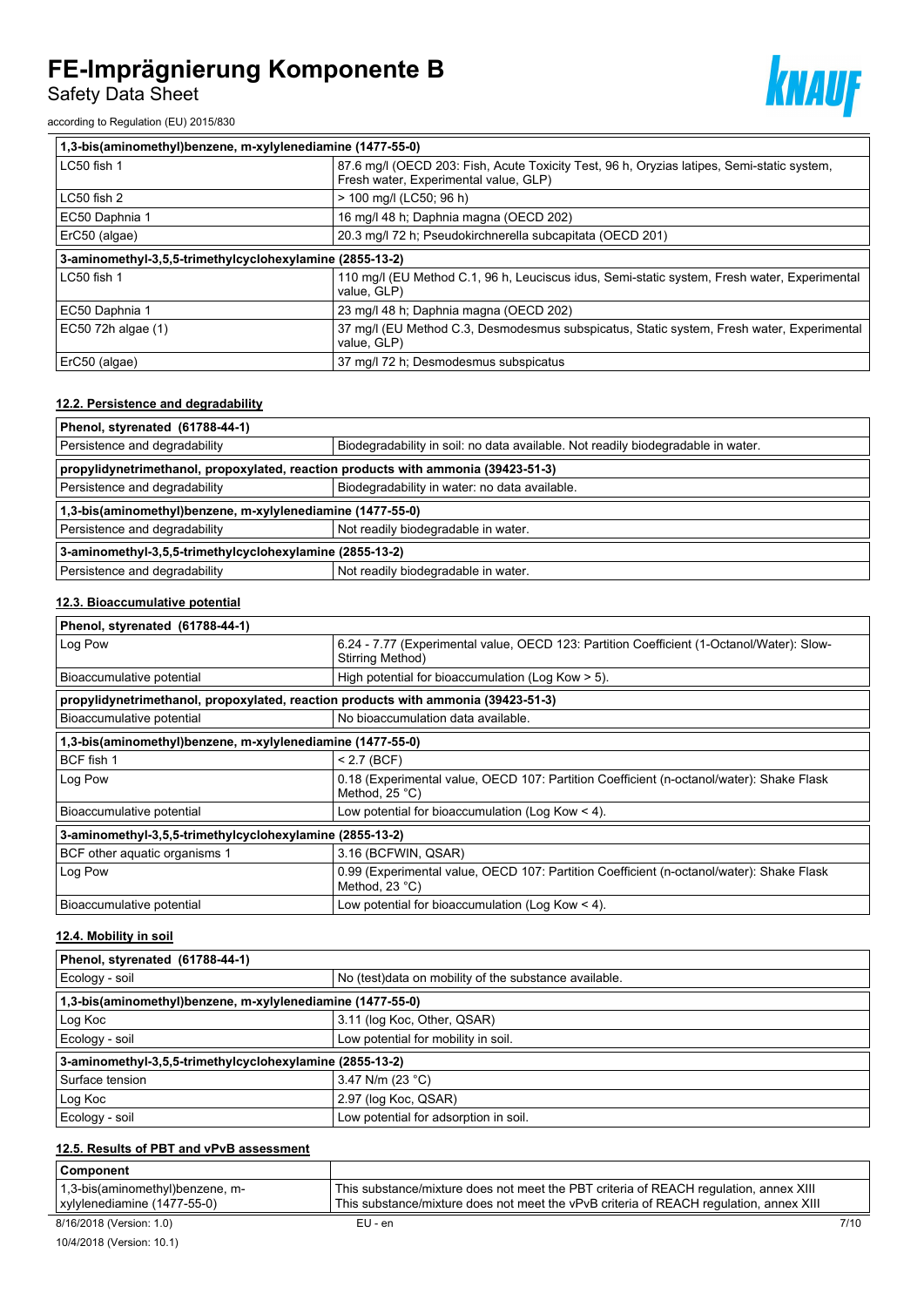Safety Data Sheet

according to Regulation (EU) 2015/830

| 1,3-bis(aminomethyl)benzene, m-xylylenediamine (1477-55-0) |                                                                                                                                     |  |
|------------------------------------------------------------|-------------------------------------------------------------------------------------------------------------------------------------|--|
| LC50 fish 1                                                | 87.6 mg/l (OECD 203: Fish, Acute Toxicity Test, 96 h, Oryzias latipes, Semi-static system,<br>Fresh water, Experimental value, GLP) |  |
| $LC50$ fish 2                                              | > 100 mg/l (LC50; 96 h)                                                                                                             |  |
| EC50 Daphnia 1                                             | 16 mg/l 48 h; Daphnia magna (OECD 202)                                                                                              |  |
| ErC50 (algae)                                              | 20.3 mg/l 72 h; Pseudokirchnerella subcapitata (OECD 201)                                                                           |  |
| 3-aminomethyl-3,5,5-trimethylcyclohexylamine (2855-13-2)   |                                                                                                                                     |  |
| LC50 fish 1                                                | 110 mg/l (EU Method C.1, 96 h, Leuciscus idus, Semi-static system, Fresh water, Experimental<br>value, GLP)                         |  |
| EC50 Daphnia 1                                             | 23 mg/l 48 h; Daphnia magna (OECD 202)                                                                                              |  |
| EC50 72h algae (1)                                         | 37 mg/l (EU Method C.3, Desmodesmus subspicatus, Static system, Fresh water, Experimental<br>value, GLP)                            |  |
| ErC50 (algae)                                              | 37 mg/l 72 h; Desmodesmus subspicatus                                                                                               |  |

#### **12.2. Persistence and degradability**

| Phenol, styrenated (61788-44-1)                                                                                   |  |  |  |
|-------------------------------------------------------------------------------------------------------------------|--|--|--|
| Persistence and degradability<br>Biodegradability in soil: no data available. Not readily biodegradable in water. |  |  |  |
| propylidynetrimethanol, propoxylated, reaction products with ammonia (39423-51-3)                                 |  |  |  |
| Biodegradability in water: no data available.<br>Persistence and degradability                                    |  |  |  |
| 1,3-bis(aminomethyl)benzene, m-xylylenediamine (1477-55-0)                                                        |  |  |  |
| Not readily biodegradable in water.<br>Persistence and degradability                                              |  |  |  |
| 3-aminomethyl-3,5,5-trimethylcyclohexylamine (2855-13-2)                                                          |  |  |  |
| Persistence and degradability<br>Not readily biodegradable in water.                                              |  |  |  |

# **12.3. Bioaccumulative potential**

| Phenol, styrenated (61788-44-1)                                                   |                                                                                                                     |  |
|-----------------------------------------------------------------------------------|---------------------------------------------------------------------------------------------------------------------|--|
| Log Pow                                                                           | 6.24 - 7.77 (Experimental value, OECD 123: Partition Coefficient (1-Octanol/Water): Slow-<br>Stirring Method)       |  |
| Bioaccumulative potential                                                         | High potential for bioaccumulation (Log Kow > 5).                                                                   |  |
| propylidynetrimethanol, propoxylated, reaction products with ammonia (39423-51-3) |                                                                                                                     |  |
| Bioaccumulative potential                                                         | No bioaccumulation data available.                                                                                  |  |
| 1,3-bis(aminomethyl)benzene, m-xylylenediamine (1477-55-0)                        |                                                                                                                     |  |
| BCF fish 1                                                                        | $< 2.7$ (BCF)                                                                                                       |  |
| Log Pow                                                                           | 0.18 (Experimental value, OECD 107: Partition Coefficient (n-octanol/water): Shake Flask<br>Method, $25^{\circ}$ C) |  |
| Bioaccumulative potential                                                         | Low potential for bioaccumulation (Log Kow $<$ 4).                                                                  |  |
| 3-aminomethyl-3,5,5-trimethylcyclohexylamine (2855-13-2)                          |                                                                                                                     |  |
| BCF other aquatic organisms 1                                                     | 3.16 (BCFWIN, QSAR)                                                                                                 |  |
| Log Pow                                                                           | 0.99 (Experimental value, OECD 107: Partition Coefficient (n-octanol/water): Shake Flask<br>Method, $23^{\circ}$ C) |  |
| Bioaccumulative potential                                                         | Low potential for bioaccumulation (Log Kow < 4).                                                                    |  |

#### **12.4. Mobility in soil**

| Phenol, styrenated (61788-44-1)                            |                                                        |  |
|------------------------------------------------------------|--------------------------------------------------------|--|
| Ecology - soil                                             | No (test) data on mobility of the substance available. |  |
| 1,3-bis(aminomethyl)benzene, m-xylylenediamine (1477-55-0) |                                                        |  |
| Log Koc                                                    | 3.11 (log Koc, Other, QSAR)                            |  |
| Ecology - soil                                             | Low potential for mobility in soil.                    |  |
| 3-aminomethyl-3,5,5-trimethylcyclohexylamine (2855-13-2)   |                                                        |  |
| Surface tension                                            | 3.47 N/m (23 °C)                                       |  |
| Log Koc                                                    | 2.97 (log Koc, QSAR)                                   |  |
| Ecology - soil                                             | Low potential for adsorption in soil.                  |  |

# **12.5. Results of PBT and vPvB assessment**

| Component                                |                                                                                        |
|------------------------------------------|----------------------------------------------------------------------------------------|
| $\vert$ 1,3-bis(aminomethyl) benzene, m- | This substance/mixture does not meet the PBT criteria of REACH regulation, annex XIII  |
| xylylenediamine (1477-55-0)              | This substance/mixture does not meet the vPvB criteria of REACH regulation, annex XIII |

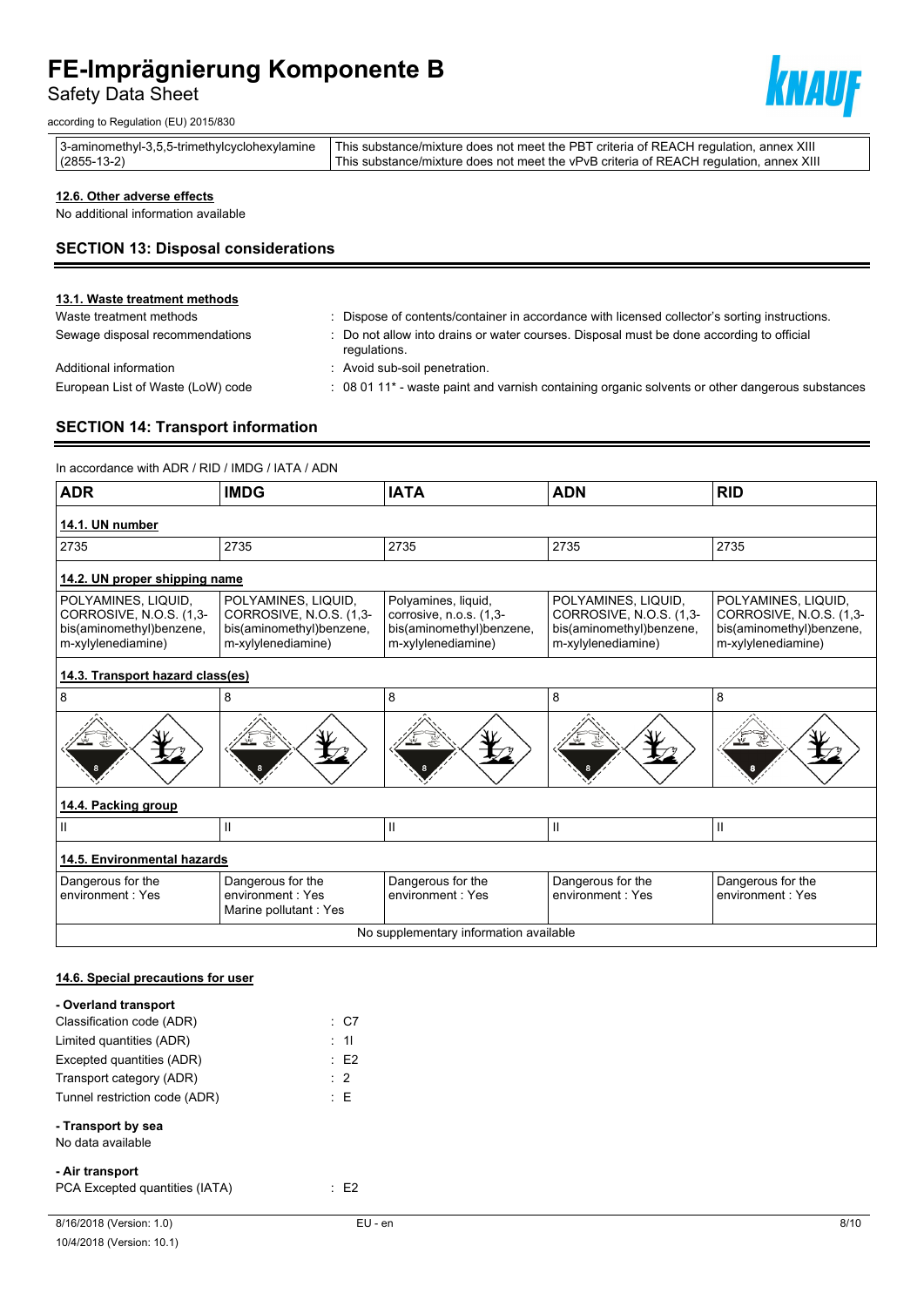Safety Data Sheet

according to Regulation (EU) 2015/830



|               | 3-aminomethyl-3,5,5-trimethylcyclohexylamine   This substance/mixture does not meet the PBT criteria of REACH regulation, annex XIII |
|---------------|--------------------------------------------------------------------------------------------------------------------------------------|
| $(2855-13-2)$ | This substance/mixture does not meet the vPvB criteria of REACH regulation, annex XIII                                               |

### **12.6. Other adverse effects**

No additional information available

# **SECTION 13: Disposal considerations**

#### **13.1. Waste treatment methods**

Waste treatment methods : Dispose of contents/container in accordance with licensed collector's sorting instructions. Sewage disposal recommendations : Do not allow into drains or water courses. Disposal must be done according to official

Additional information **interest in the Community** Avoid sub-soil penetration.

regulations.

European List of Waste (LoW) code : 08 01 11<sup>\*</sup> - waste paint and varnish containing organic solvents or other dangerous substances

# **SECTION 14: Transport information**

In accordance with ADR / RID / IMDG / IATA / ADN

| <b>ADR</b>                                                                                       | <b>IMDG</b>                                                                                      | <b>IATA</b>                                                                                      | <b>ADN</b>                                                                                       | <b>RID</b>                                                                                       |  |  |
|--------------------------------------------------------------------------------------------------|--------------------------------------------------------------------------------------------------|--------------------------------------------------------------------------------------------------|--------------------------------------------------------------------------------------------------|--------------------------------------------------------------------------------------------------|--|--|
| 14.1. UN number                                                                                  |                                                                                                  |                                                                                                  |                                                                                                  |                                                                                                  |  |  |
| 2735                                                                                             | 2735                                                                                             | 2735                                                                                             | 2735                                                                                             | 2735                                                                                             |  |  |
| 14.2. UN proper shipping name                                                                    |                                                                                                  |                                                                                                  |                                                                                                  |                                                                                                  |  |  |
| POLYAMINES, LIQUID,<br>CORROSIVE, N.O.S. (1,3-<br>bis(aminomethyl)benzene,<br>m-xylylenediamine) | POLYAMINES, LIQUID,<br>CORROSIVE, N.O.S. (1,3-<br>bis(aminomethyl)benzene,<br>m-xylylenediamine) | Polyamines, liquid,<br>corrosive, n.o.s. (1,3-<br>bis(aminomethyl)benzene,<br>m-xylylenediamine) | POLYAMINES, LIQUID,<br>CORROSIVE, N.O.S. (1,3-<br>bis(aminomethyl)benzene,<br>m-xylylenediamine) | POLYAMINES, LIQUID,<br>CORROSIVE, N.O.S. (1,3-<br>bis(aminomethyl)benzene,<br>m-xylylenediamine) |  |  |
| 14.3. Transport hazard class(es)                                                                 |                                                                                                  |                                                                                                  |                                                                                                  |                                                                                                  |  |  |
| 8                                                                                                | 8                                                                                                | 8                                                                                                | 8                                                                                                | 8                                                                                                |  |  |
|                                                                                                  |                                                                                                  |                                                                                                  |                                                                                                  |                                                                                                  |  |  |
| 14.4. Packing group                                                                              |                                                                                                  |                                                                                                  |                                                                                                  |                                                                                                  |  |  |
| Ш                                                                                                | $\mathbf{H}$                                                                                     | $\mathbf{H}$                                                                                     | $\mathbf{H}$                                                                                     | $\mathbf{H}$                                                                                     |  |  |
| 14.5. Environmental hazards                                                                      |                                                                                                  |                                                                                                  |                                                                                                  |                                                                                                  |  |  |
| Dangerous for the<br>environment: Yes                                                            | Dangerous for the<br>environment: Yes<br>Marine pollutant: Yes                                   | Dangerous for the<br>environment: Yes                                                            | Dangerous for the<br>environment: Yes                                                            | Dangerous for the<br>environment: Yes                                                            |  |  |
| No supplementary information available                                                           |                                                                                                  |                                                                                                  |                                                                                                  |                                                                                                  |  |  |

## **14.6. Special precautions for user**

| - Overland transport                    |                 |  |
|-----------------------------------------|-----------------|--|
| Classification code (ADR)               | $\therefore$ C7 |  |
| Limited quantities (ADR)                | $\therefore$ 11 |  |
| Excepted quantities (ADR)               | $\therefore$ E2 |  |
| Transport category (ADR)                | $\therefore$ 2  |  |
| Tunnel restriction code (ADR)           | $E_{\rm E}$     |  |
| - Transport by sea<br>No data available |                 |  |
| - Air transport                         |                 |  |
| PCA Excepted quantities (IATA)          | E2              |  |
| 8/16/2018 (Version: 1.0)                | EU - en         |  |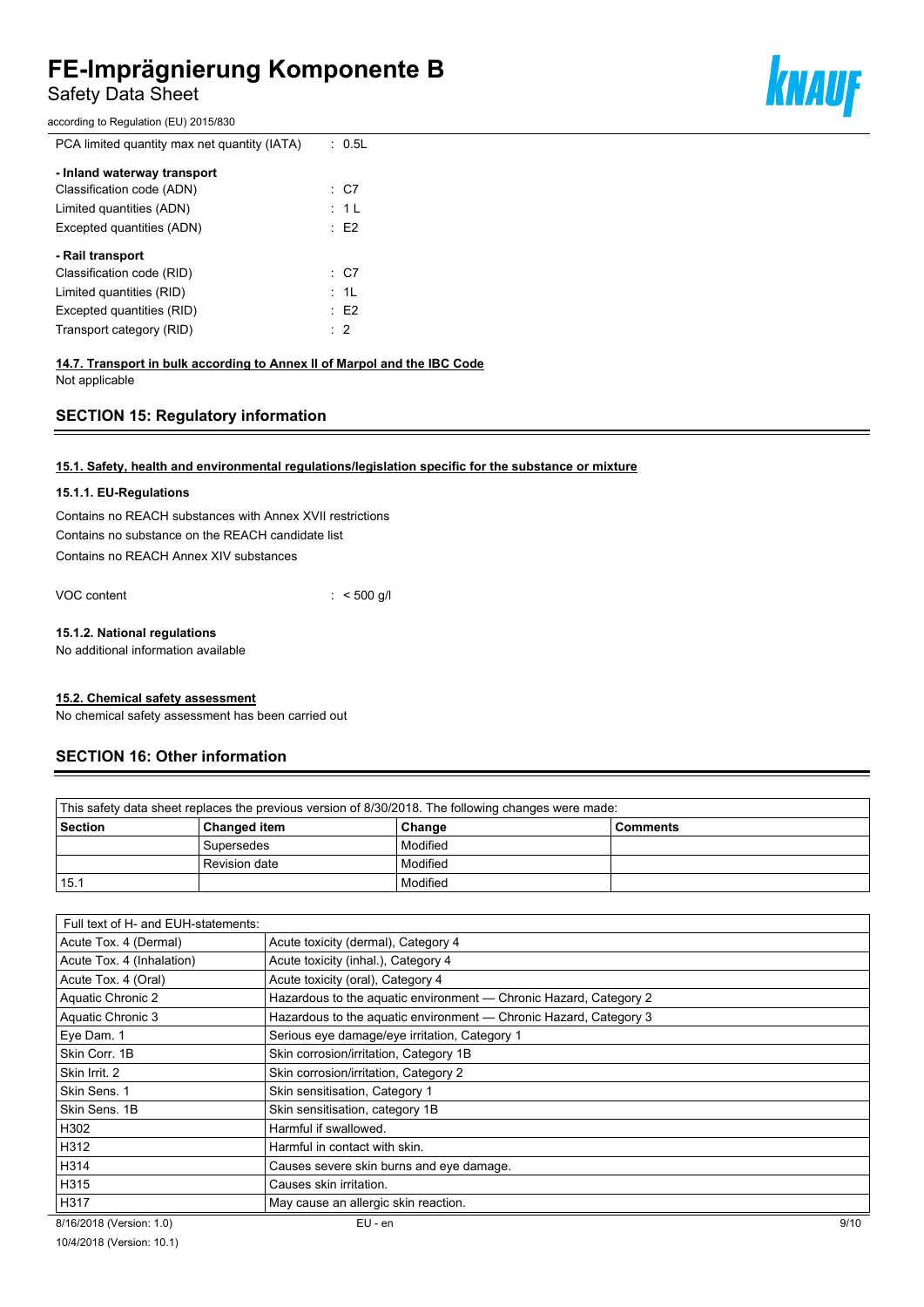Safety Data Sheet

according to Regulation (EU) 2015/830

PCA limited quantity max net quantity (IATA) : 0.5L

| - Inland waterway transport                   |                 |
|-----------------------------------------------|-----------------|
| Classification code (ADN)                     | $\therefore$ C7 |
| Limited quantities (ADN)                      | : 1 L           |
| Excepted quantities (ADN)                     | E2              |
| - Rail transport<br>Classification code (RID) | : C7            |
| Limited quantities (RID)                      | : 1L            |
| Excepted quantities (RID)                     | E2              |
| Transport category (RID)                      | $\therefore$ 2  |
|                                               |                 |

# **14.7. Transport in bulk according to Annex II of Marpol and the IBC Code**

Not applicable

# **SECTION 15: Regulatory information**

### **15.1. Safety, health and environmental regulations/legislation specific for the substance or mixture**

#### **15.1.1. EU-Regulations**

Contains no REACH substances with Annex XVII restrictions Contains no substance on the REACH candidate list Contains no REACH Annex XIV substances

VOC content : < 500 g/l

#### **15.1.2. National regulations**

No additional information available

#### **15.2. Chemical safety assessment**

No chemical safety assessment has been carried out

# **SECTION 16: Other information**

| This safety data sheet replaces the previous version of 8/30/2018. The following changes were made: |               |          |  |
|-----------------------------------------------------------------------------------------------------|---------------|----------|--|
| Section<br><b>Changed item</b><br>Change<br><b>Comments</b>                                         |               |          |  |
|                                                                                                     | Supersedes    | Modified |  |
|                                                                                                     | Revision date | Modified |  |
| 15.1                                                                                                |               | Modified |  |

| Full text of H- and EUH-statements: |                                                                   |      |
|-------------------------------------|-------------------------------------------------------------------|------|
| Acute Tox. 4 (Dermal)               | Acute toxicity (dermal), Category 4                               |      |
| Acute Tox. 4 (Inhalation)           | Acute toxicity (inhal.), Category 4                               |      |
| Acute Tox. 4 (Oral)                 | Acute toxicity (oral), Category 4                                 |      |
| Aquatic Chronic 2                   | Hazardous to the aguatic environment — Chronic Hazard, Category 2 |      |
| Aquatic Chronic 3                   | Hazardous to the aquatic environment - Chronic Hazard, Category 3 |      |
| Eye Dam. 1                          | Serious eye damage/eye irritation, Category 1                     |      |
| Skin Corr. 1B                       | Skin corrosion/irritation, Category 1B                            |      |
| Skin Irrit. 2                       | Skin corrosion/irritation, Category 2                             |      |
| Skin Sens. 1                        | Skin sensitisation, Category 1                                    |      |
| Skin Sens, 1B                       | Skin sensitisation, category 1B                                   |      |
| H302                                | Harmful if swallowed.                                             |      |
| H312                                | Harmful in contact with skin.                                     |      |
| H314                                | Causes severe skin burns and eye damage.                          |      |
| H315                                | Causes skin irritation.                                           |      |
| H317                                | May cause an allergic skin reaction.                              |      |
| 8/16/2018 (Version: 1.0)            | $EU - en$                                                         | 9/10 |



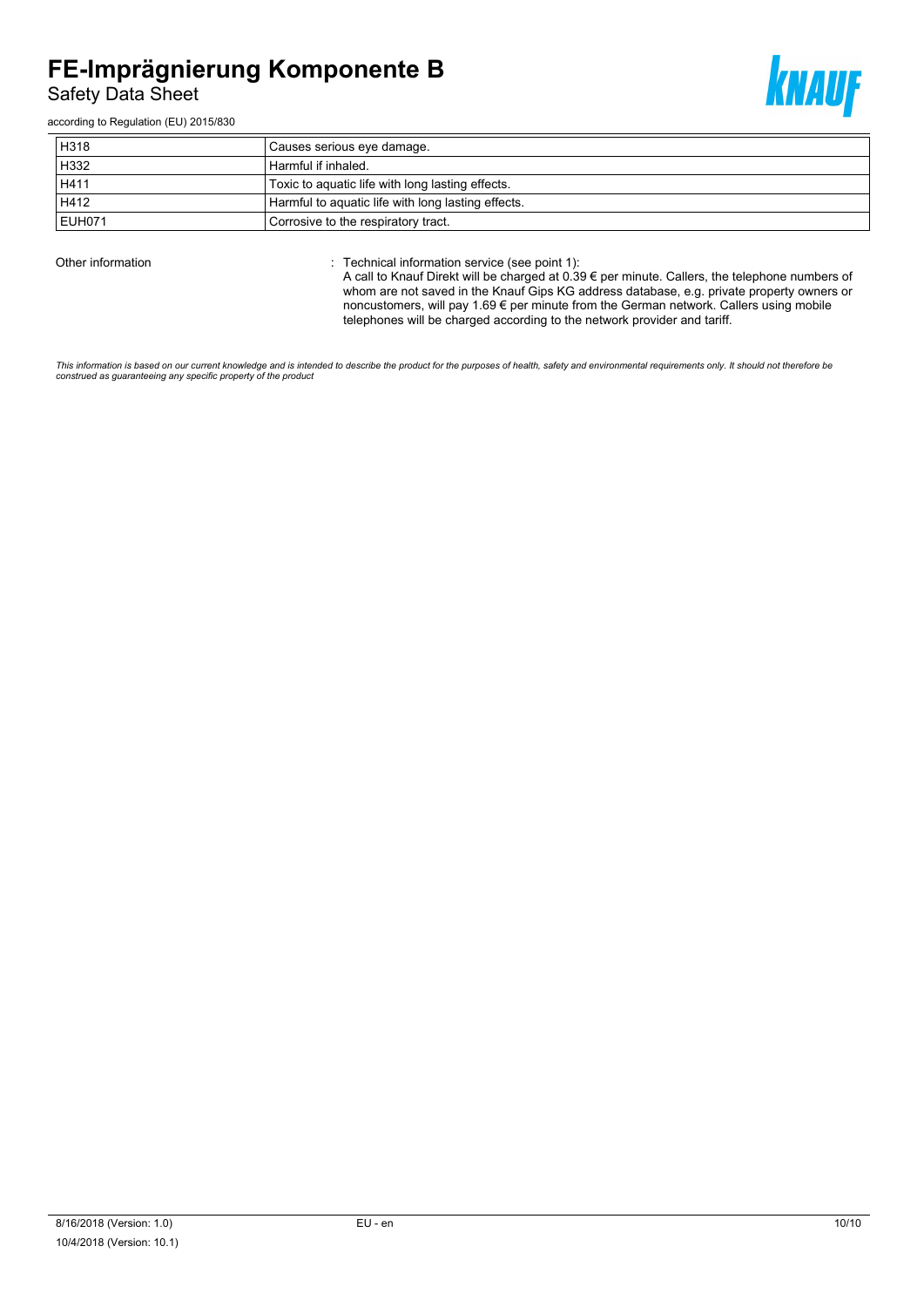Safety Data Sheet

according to Regulation (EU) 2015/830

| H318   | Causes serious eye damage.                         |
|--------|----------------------------------------------------|
| H332   | Harmful if inhaled.                                |
| H411   | Toxic to aquatic life with long lasting effects.   |
| H412   | Harmful to aquatic life with long lasting effects. |
| EUH071 | Corrosive to the respiratory tract.                |

Other information **Other information** : Technical information service (see point 1):

A call to Knauf Direkt will be charged at 0.39 € per minute. Callers, the telephone numbers of whom are not saved in the Knauf Gips KG address database, e.g. private property owners or noncustomers, will pay 1.69 € per minute from the German network. Callers using mobile telephones will be charged according to the network provider and tariff.

This information is based on our current knowledge and is intended to describe the product for the purposes of health, safety and environmental requirements only. It should not therefore be<br>construed as guaranteeing any sp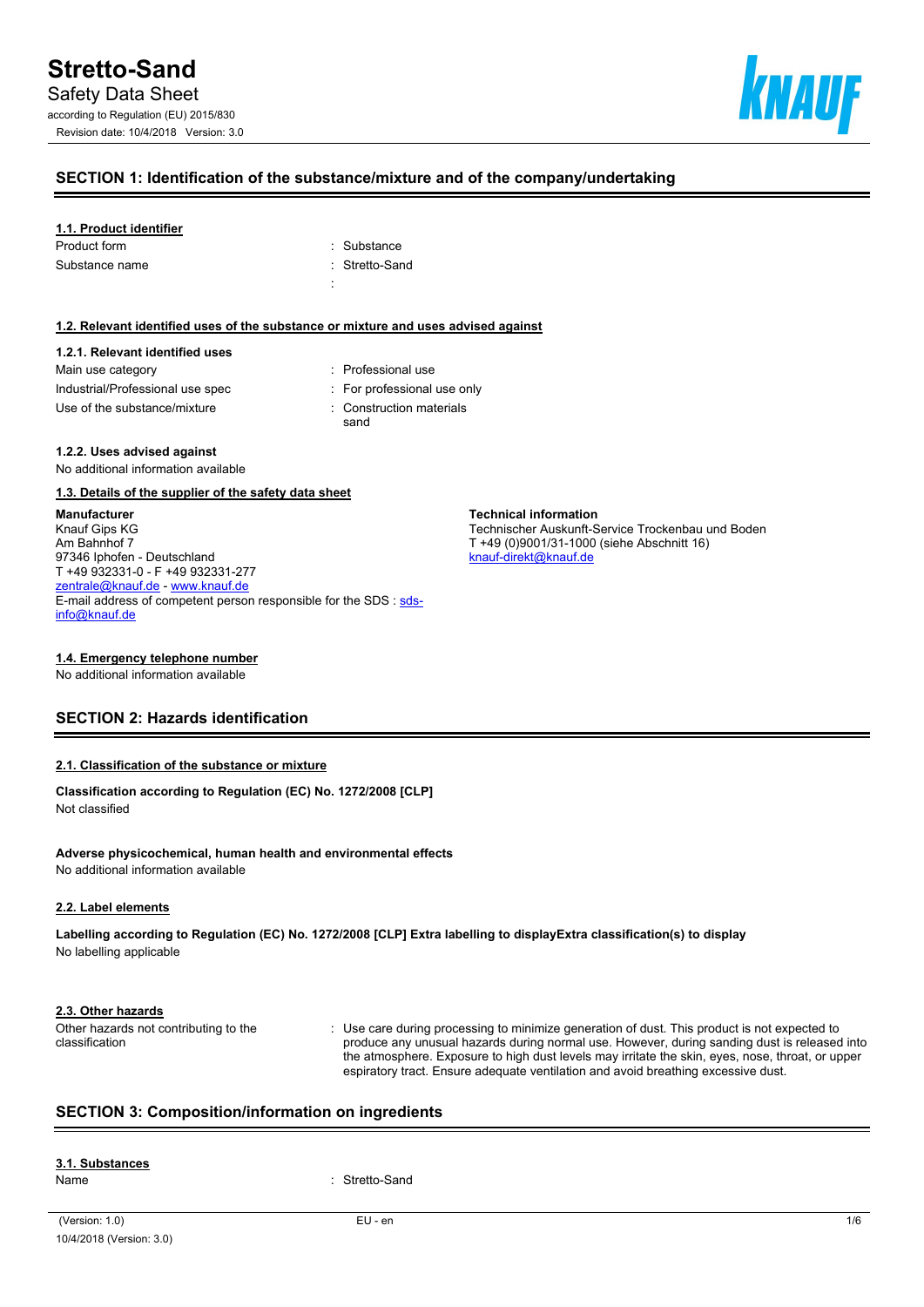

### **SECTION 1: Identification of the substance/mixture and of the company/undertaking**

#### **1.1. Product identifier**

| : Substance    |
|----------------|
| : Stretto-Sand |
|                |
|                |

#### **1.2. Relevant identified uses of the substance or mixture and uses advised against**

# **1.2.1. Relevant identified uses** Main use category **in the set of the COV** and Main use the Main use

| Industrial/Professional use spec | For professional use only |
|----------------------------------|---------------------------|
| Use of the substance/mixture     | Construction materials    |

sand

**Technical information**

[knauf-direkt@knauf.de](mailto:knauf-direkt@knauf.de)

Technischer Auskunft-Service Trockenbau und Boden

T +49 (0)9001/31-1000 (siehe Abschnitt 16)

#### **1.2.2. Uses advised against**

No additional information available

#### **1.3. Details of the supplier of the safety data sheet**

**Manufacturer** Knauf Gips KG Am Bahnhof 7 97346 Iphofen - Deutschland T +49 932331-0 - F +49 932331-277 [zentrale@knauf.de](mailto:zentrale@knauf.de) - <www.knauf.de> E-mail address of competent person responsible for the SDS : [sds](mailto:sds-info@knauf.de)[info@knauf.de](mailto:sds-info@knauf.de)

#### **1.4. Emergency telephone number**

No additional information available

# **SECTION 2: Hazards identification**

#### **2.1. Classification of the substance or mixture**

**Classification according to Regulation (EC) No. 1272/2008 [CLP]** Not classified

**Adverse physicochemical, human health and environmental effects** No additional information available

#### **2.2. Label elements**

**Labelling according to Regulation (EC) No. 1272/2008 [CLP] Extra labelling to displayExtra classification(s) to display** No labelling applicable

#### **2.3. Other hazards**

Other hazards not contributing to the classification

: Use care during processing to minimize generation of dust. This product is not expected to produce any unusual hazards during normal use. However, during sanding dust is released into the atmosphere. Exposure to high dust levels may irritate the skin, eyes, nose, throat, or upper espiratory tract. Ensure adequate ventilation and avoid breathing excessive dust.

# **SECTION 3: Composition/information on ingredients**

# **3.1. Substances**

Name : Stretto-Sand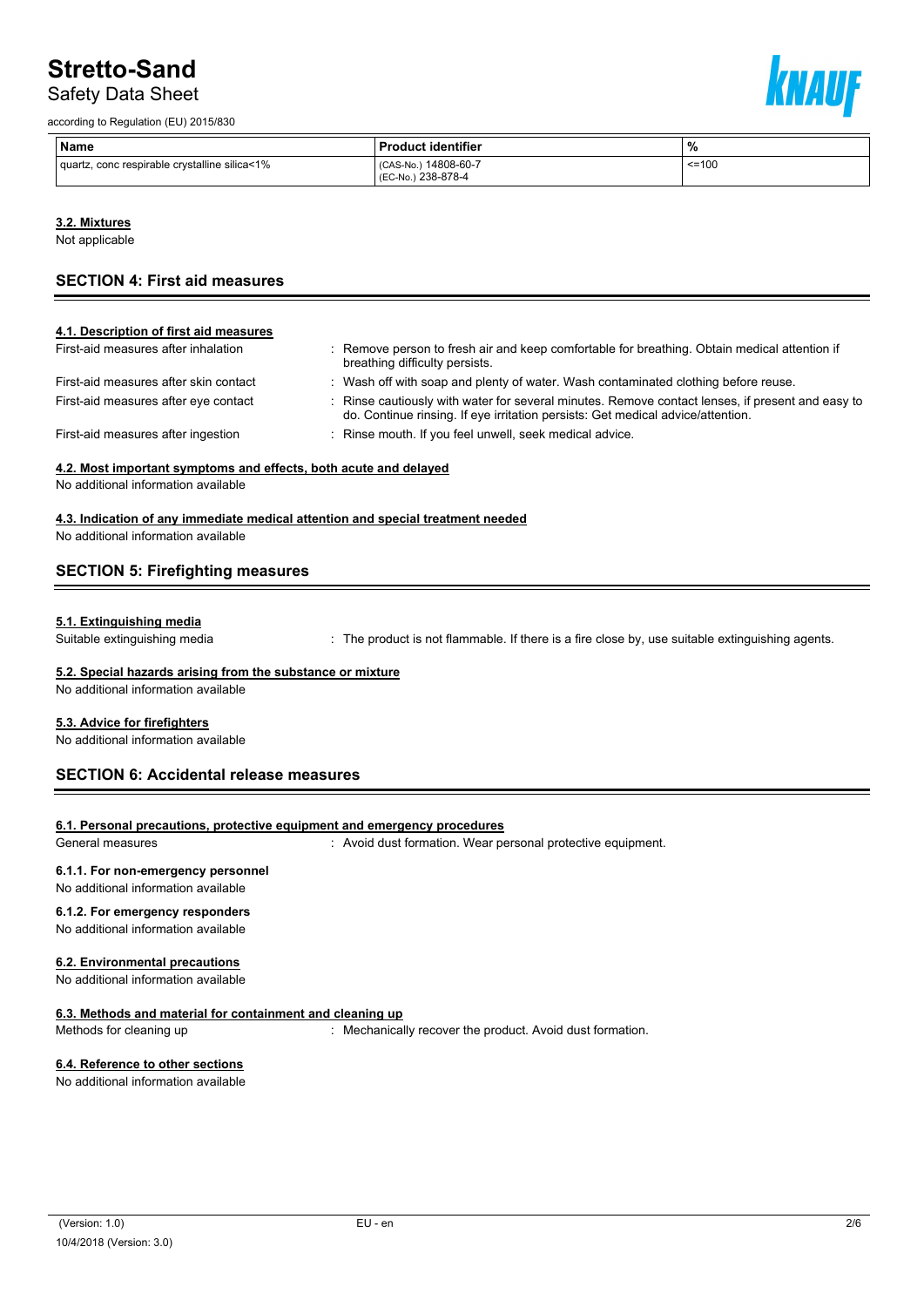# Safety Data Sheet

according to Regulation (EU) 2015/830



| ∣ Name                                        | <b>Product identifier</b>                 | %            |
|-----------------------------------------------|-------------------------------------------|--------------|
| quartz, conc respirable crystalline silica<1% | CAS-No.) 14808-60-7<br>(EC-No.) 238-878-4 | $\leq$ = 100 |

#### **3.2. Mixtures**

Not applicable

# **SECTION 4: First aid measures**

| : Remove person to fresh air and keep comfortable for breathing. Obtain medical attention if<br>breathing difficulty persists.                                                      |
|-------------------------------------------------------------------------------------------------------------------------------------------------------------------------------------|
| : Wash off with soap and plenty of water. Wash contaminated clothing before reuse.                                                                                                  |
| : Rinse cautiously with water for several minutes. Remove contact lenses, if present and easy to<br>do. Continue rinsing. If eye irritation persists: Get medical advice/attention. |
| : Rinse mouth. If you feel unwell, seek medical advice.                                                                                                                             |
|                                                                                                                                                                                     |

### **4.2. Most important symptoms and effects, both acute and delayed**

No additional information available

#### **4.3. Indication of any immediate medical attention and special treatment needed**

No additional information available

# **SECTION 5: Firefighting measures**

#### **5.1. Extinguishing media**

Suitable extinguishing media **interproduct is not flammable.** If there is a fire close by, use suitable extinguishing agents.

### **5.2. Special hazards arising from the substance or mixture**

No additional information available

#### **5.3. Advice for firefighters**

No additional information available

# **SECTION 6: Accidental release measures**

#### **6.1. Personal precautions, protective equipment and emergency procedures**

General measures **in the state of the Contract of the Contract Contract Contract Contract Contract Contract Contract Contract Contract Contract Contract Contract Contract Contract Contract Contract Contract Contract Contra** 

#### **6.1.1. For non-emergency personnel**

### No additional information available

### **6.1.2. For emergency responders**

No additional information available

#### **6.2. Environmental precautions**

No additional information available

#### **6.3. Methods and material for containment and cleaning up**

Methods for cleaning up : Mechanically recover the product. Avoid dust formation.

#### **6.4. Reference to other sections**

No additional information available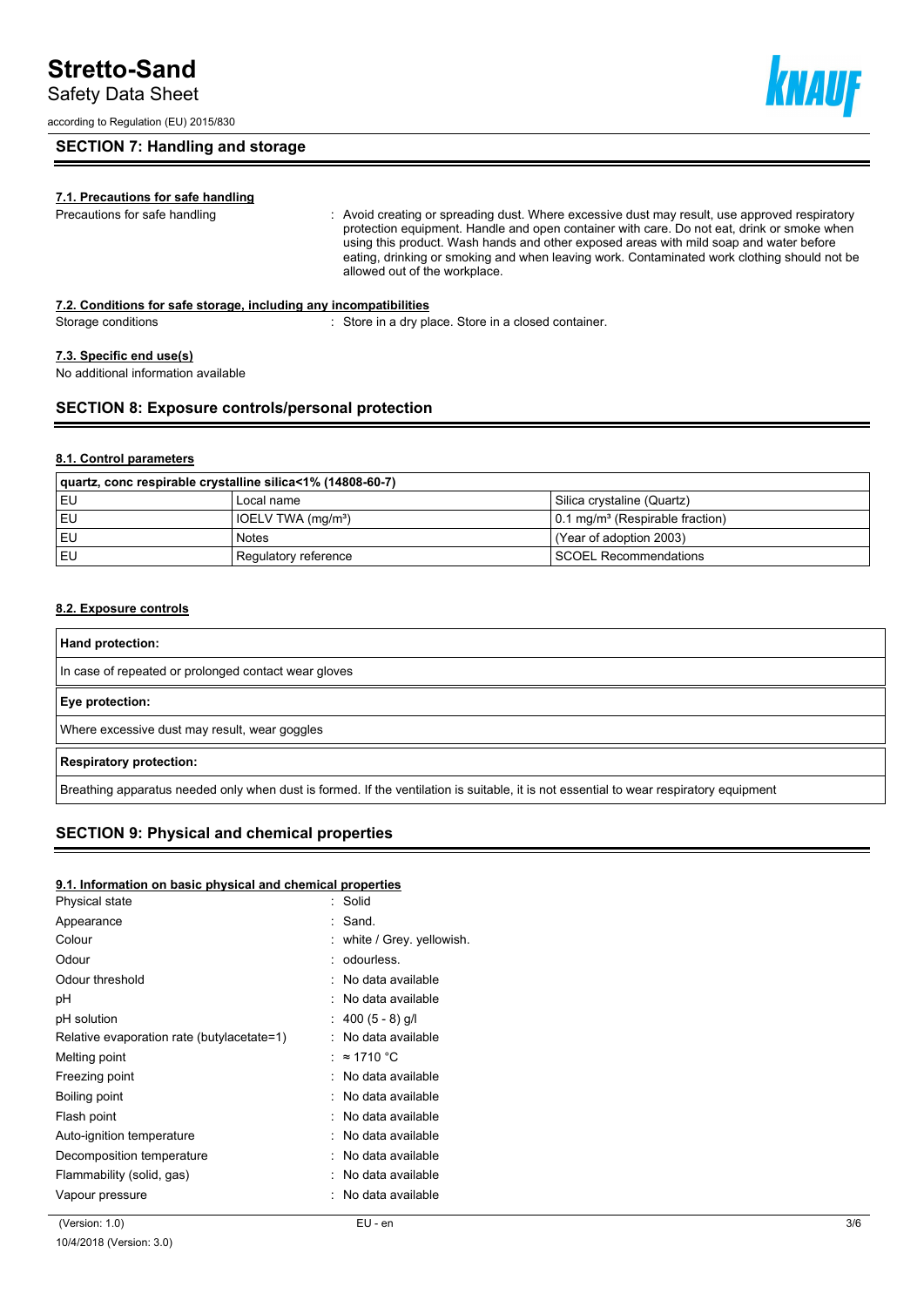Safety Data Sheet

according to Regulation (EU) 2015/830

### **SECTION 7: Handling and storage**

### **7.1. Precautions for safe handling**

Precautions for safe handling straction of the videodicreating or spreading dust. Where excessive dust may result, use approved respiratory protection equipment. Handle and open container with care. Do not eat, drink or smoke when using this product. Wash hands and other exposed areas with mild soap and water before eating, drinking or smoking and when leaving work. Contaminated work clothing should not be allowed out of the workplace.

#### **7.2. Conditions for safe storage, including any incompatibilities**

Storage conditions **Store in a dry place.** Store in a closed container.

#### **7.3. Specific end use(s)**

No additional information available

### **SECTION 8: Exposure controls/personal protection**

### **8.1. Control parameters**

| quartz, conc respirable crystalline silica<1% (14808-60-7) |                                |                                                     |  |  |
|------------------------------------------------------------|--------------------------------|-----------------------------------------------------|--|--|
| l EU                                                       | Local name                     | Silica crystaline (Quartz)                          |  |  |
| l EU                                                       | IOELV TWA (mg/m <sup>3</sup> ) | $\vert$ 0.1 mg/m <sup>3</sup> (Respirable fraction) |  |  |
| l EU                                                       | <b>Notes</b>                   | l (Year of adoption 2003)                           |  |  |
| i EU                                                       | Regulatory reference           | SCOEL Recommendations                               |  |  |

#### **8.2. Exposure controls**

| Hand protection:                                                                                                                       |
|----------------------------------------------------------------------------------------------------------------------------------------|
| In case of repeated or prolonged contact wear gloves                                                                                   |
| Eye protection:                                                                                                                        |
| Where excessive dust may result, wear goggles                                                                                          |
| <b>Respiratory protection:</b>                                                                                                         |
| Breathing apparatus needed only when dust is formed. If the ventilation is suitable, it is not essential to wear respiratory equipment |

### **SECTION 9: Physical and chemical properties**

#### **9.1. Information on basic physical and chemical properties**

| Physical state                             | : Solid                  |
|--------------------------------------------|--------------------------|
| Appearance                                 | : Sand.                  |
| Colour                                     | white / Grey. yellowish. |
| Odour                                      | : odourless.             |
| Odour threshold                            | : No data available      |
| рH                                         | : No data available      |
| pH solution                                | : 400 (5 - 8) g/l        |
| Relative evaporation rate (butylacetate=1) | : No data available      |
| Melting point                              | : ≈ 1710 °C              |
| Freezing point                             | : No data available      |
| Boiling point                              | : No data available      |
| Flash point                                | : No data available      |
| Auto-ignition temperature                  | : No data available      |
| Decomposition temperature                  | : No data available      |
| Flammability (solid, gas)                  | : No data available      |
| Vapour pressure                            | No data available        |
|                                            |                          |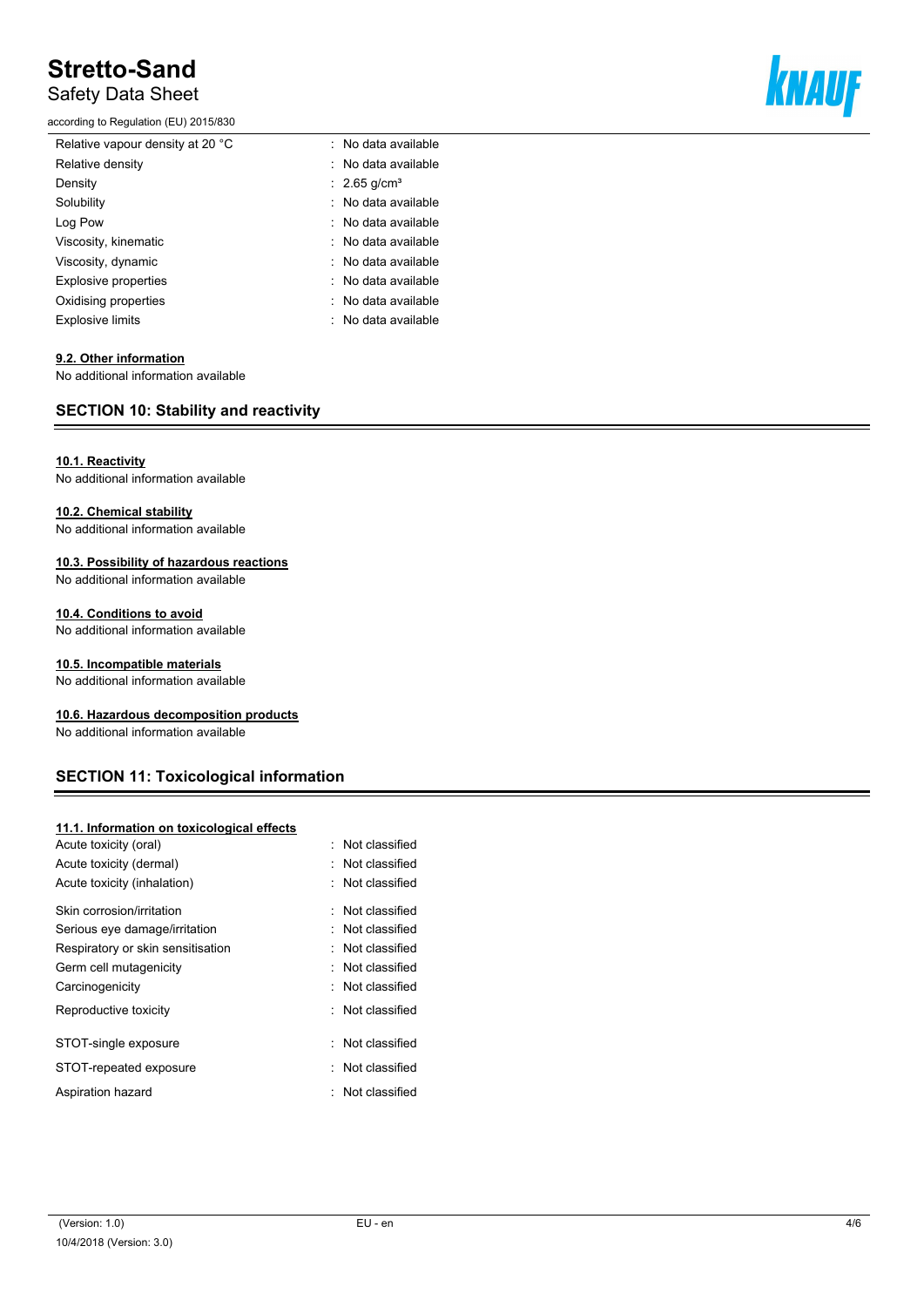# Safety Data Sheet

according to Regulation (EU) 2015/830



| Relative vapour density at 20 °C | No data available                   |
|----------------------------------|-------------------------------------|
| Relative density                 | : No data available                 |
| Density                          | $\therefore$ 2.65 g/cm <sup>3</sup> |
| Solubility                       | : No data available                 |
| Log Pow                          | : No data available                 |
| Viscosity, kinematic             | : No data available                 |
| Viscosity, dynamic               | : No data available                 |
| <b>Explosive properties</b>      | : No data available                 |
| Oxidising properties             | : No data available                 |
| Explosive limits                 | : No data available                 |

#### **9.2. Other information**

No additional information available

### **SECTION 10: Stability and reactivity**

#### **10.1. Reactivity**

No additional information available

#### **10.2. Chemical stability**

No additional information available

# **10.3. Possibility of hazardous reactions**

No additional information available

#### **10.4. Conditions to avoid**

No additional information available

#### **10.5. Incompatible materials**

No additional information available

#### **10.6. Hazardous decomposition products**

No additional information available

# **SECTION 11: Toxicological information**

#### **11.1. Information on toxicological effects**

| Not classified              |
|-----------------------------|
| . Not classified            |
| Not classified              |
| $\therefore$ Not classified |
| $\therefore$ Not classified |
| Not classified              |
| : Not classified            |
| $\therefore$ Not classified |
| Not classified              |
| Not classified              |
| Not classified              |
| Not classified              |
|                             |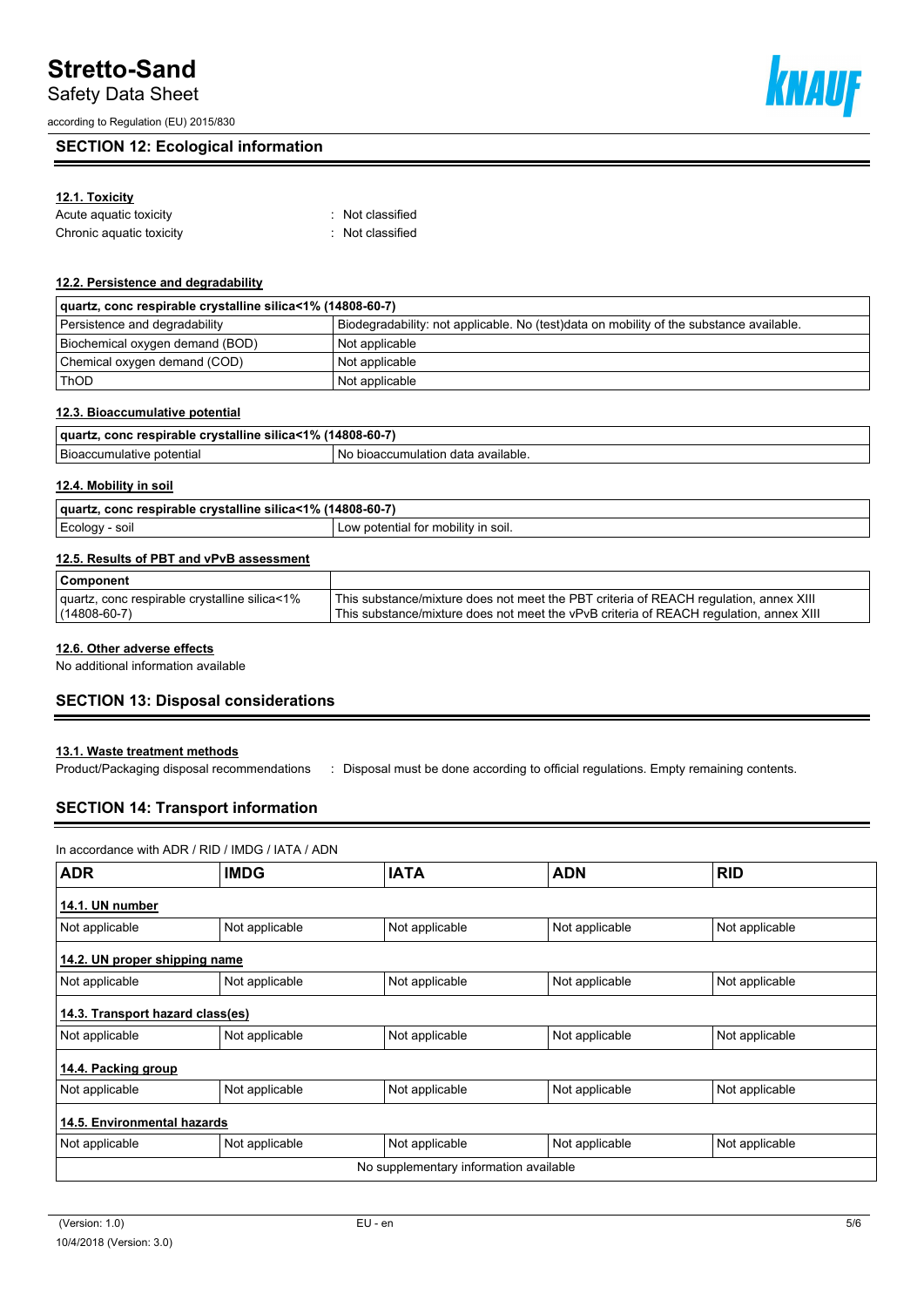Safety Data Sheet

according to Regulation (EU) 2015/830

# **SECTION 12: Ecological information**

# **12.1. Toxicity**

| Acute aquatic toxicity   | Not classified   |
|--------------------------|------------------|
| Chronic aquatic toxicity | : Not classified |

#### **12.2. Persistence and degradability**

| quartz, conc respirable crystalline silica<1% (14808-60-7) |                                                                                         |  |  |  |
|------------------------------------------------------------|-----------------------------------------------------------------------------------------|--|--|--|
| Persistence and degradability                              | Biodegradability: not applicable. No (test)data on mobility of the substance available. |  |  |  |
| Biochemical oxygen demand (BOD)                            | Not applicable                                                                          |  |  |  |
| Chemical oxygen demand (COD)                               | Not applicable                                                                          |  |  |  |
| <b>ThOD</b>                                                | Not applicable                                                                          |  |  |  |

#### **12.3. Bioaccumulative potential**

| $-401$<br>---<br>$.14808 - 60 - 7'$<br>aua.<br>ิ์ vstalline<br>respirable<br>silica·<br>eonc<br>. .<br>- 70 |                                                 |  |
|-------------------------------------------------------------------------------------------------------------|-------------------------------------------------|--|
| -<br>botentia.<br>atıve<br>م ہے .                                                                           | available<br>aulation<br>N0<br>data<br>bioaccun |  |

### **12.4. Mobility in soil**

| 1<1%<br><br>. (14808-60-7<br>---<br>' quart<br>conc respirable<br>crystalline<br>silica< |                                            |  |
|------------------------------------------------------------------------------------------|--------------------------------------------|--|
| soil<br>$F$ cology                                                                       | ootential for<br>.soil.<br>mobility<br>∟ow |  |

### **12.5. Results of PBT and vPvB assessment**

| Component                                     |                                                                                        |
|-----------------------------------------------|----------------------------------------------------------------------------------------|
| quartz, conc respirable crystalline silica<1% | This substance/mixture does not meet the PBT criteria of REACH regulation, annex XIII  |
| $(14808 - 60 - 7)$                            | This substance/mixture does not meet the vPvB criteria of REACH regulation, annex XIII |

#### **12.6. Other adverse effects**

No additional information available

### **SECTION 13: Disposal considerations**

#### **13.1. Waste treatment methods**

Product/Packaging disposal recommendations : Disposal must be done according to official regulations. Empty remaining contents.

# **SECTION 14: Transport information**

#### In accordance with ADR / RID / IMDG / IATA / ADN

| <b>ADR</b>                       | <b>IMDG</b>    | <b>IATA</b>                            | <b>ADN</b>     | <b>RID</b>     |
|----------------------------------|----------------|----------------------------------------|----------------|----------------|
| 14.1. UN number                  |                |                                        |                |                |
| Not applicable                   | Not applicable | Not applicable                         | Not applicable | Not applicable |
| 14.2. UN proper shipping name    |                |                                        |                |                |
| Not applicable                   | Not applicable | Not applicable                         | Not applicable | Not applicable |
| 14.3. Transport hazard class(es) |                |                                        |                |                |
| Not applicable                   | Not applicable | Not applicable                         | Not applicable | Not applicable |
| 14.4. Packing group              |                |                                        |                |                |
| Not applicable                   | Not applicable | Not applicable                         | Not applicable | Not applicable |
| 14.5. Environmental hazards      |                |                                        |                |                |
| Not applicable                   | Not applicable | Not applicable                         | Not applicable | Not applicable |
|                                  |                | No supplementary information available |                |                |